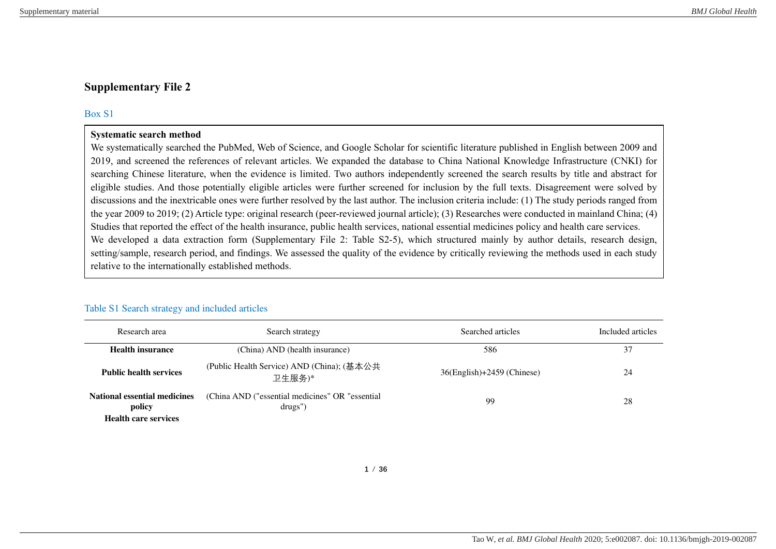# **Supplementary File 2**

### Box S1

#### **Systematic search method**

We systematically searched the PubMed, Web of Science, and Google Scholar for scientific literature published in English between 2009 and 2019, and screened the references of relevant articles. We expanded the database to China National Knowledge Infrastructure (CNKI) for searching Chinese literature, when the evidence is limited. Two authors independently screened the search results by title and abstract for eligible studies. And those potentially eligible articles were further screened for inclusion by the full texts. Disagreement were solved by discussions and the inextricable ones were further resolved by the last author. The inclusion criteria include: (1) The study periods ranged from the year 2009 to 2019; (2) Article type: original research (peer-reviewed journal article); (3) Researches were conducted in mainland China; (4) Studies that reported the effect of the health insurance, public health services, national essential medicines policy and health care services. We developed a data extraction form (Supplementary File 2: Table S2-5), which structured mainly by author details, research design, setting/sample, research period, and findings. We assessed the quality of the evidence by critically reviewing the methods used in each study relative to the internationally established methods.

| Research area                                                                | Search strategy                                             | Searched articles                | Included articles |
|------------------------------------------------------------------------------|-------------------------------------------------------------|----------------------------------|-------------------|
| <b>Health insurance</b>                                                      | (China) AND (health insurance)                              | 586                              | 37                |
| <b>Public health services</b>                                                | (Public Health Service) AND (China); (基本公共<br>卫生服务)*        | $36$ (English) $+2459$ (Chinese) | 24                |
| <b>National essential medicines</b><br>policy<br><b>Health care services</b> | (China AND ("essential medicines" OR "essential")<br>drugs' | 99                               | 28                |

### Table S1 Search strategy and included articles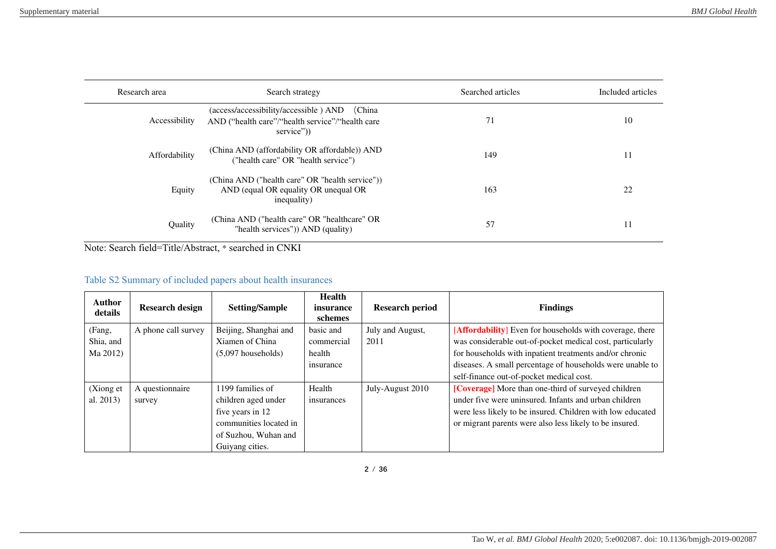| Research area | Search strategy                                                                                                  | Searched articles | Included articles |
|---------------|------------------------------------------------------------------------------------------------------------------|-------------------|-------------------|
| Accessibility | (China<br>(access/accessibility/accessible) AND<br>AND ("health care"/"health service"/"health care<br>service") | 71                | 10                |
| Affordability | (China AND (affordability OR affordable)) AND<br>("health care" OR "health service")                             | 149               | 11                |
| Equity        | (China AND ("health care" OR "health service"))<br>AND (equal OR equality OR unequal OR<br>inequality)           | 163               | 22                |
| Quality       | (China AND ("health care" OR "healthcare" OR<br>"health services")) AND (quality)                                | 57                | 11                |

Note: Search field=Title/Abstract, \* searched in CNKI

# Table S2 Summary of included papers about health insurances

| Author<br>details | <b>Research design</b> | <b>Setting/Sample</b>  | <b>Health</b><br>insurance<br>schemes | <b>Research period</b> | <b>Findings</b>                                                 |
|-------------------|------------------------|------------------------|---------------------------------------|------------------------|-----------------------------------------------------------------|
| (Fang,            | A phone call survey    | Beijing, Shanghai and  | basic and                             | July and August,       | <b>[Affordability]</b> Even for households with coverage, there |
| Shia, and         |                        | Xiamen of China        | commercial                            | 2011                   | was considerable out-of-pocket medical cost, particularly       |
| Ma 2012)          |                        | $(5.097$ households)   | health                                |                        | for households with inpatient treatments and/or chronic         |
|                   |                        |                        | insurance                             |                        | diseases. A small percentage of households were unable to       |
|                   |                        |                        |                                       |                        | self-finance out-of-pocket medical cost.                        |
| (Xiong et         | A questionnaire        | 1199 families of       | Health                                | July-August 2010       | [Coverage] More than one-third of surveyed children             |
| al. 2013)         | survey                 | children aged under    | insurances                            |                        | under five were uninsured. Infants and urban children           |
|                   |                        | five years in 12       |                                       |                        | were less likely to be insured. Children with low educated      |
|                   |                        | communities located in |                                       |                        | or migrant parents were also less likely to be insured.         |
|                   |                        | of Suzhou, Wuhan and   |                                       |                        |                                                                 |
|                   |                        | Guivang cities.        |                                       |                        |                                                                 |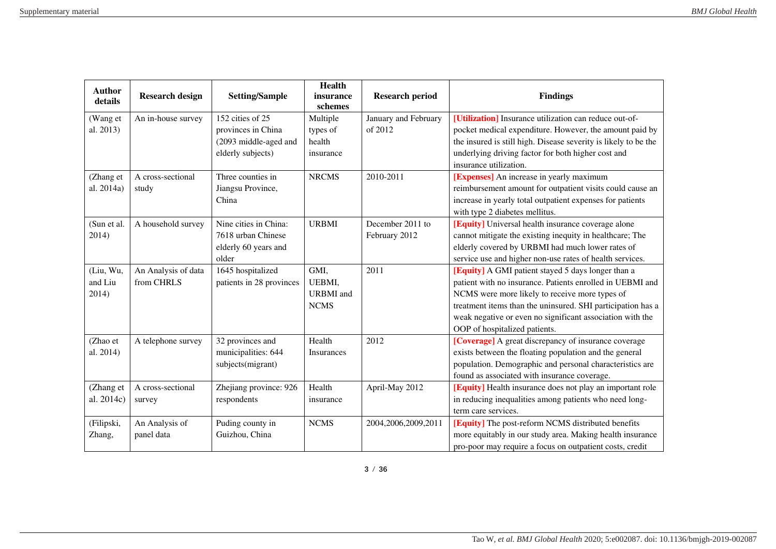| <b>Author</b><br>details | <b>Research design</b> | <b>Setting/Sample</b>         | <b>Health</b><br>insurance<br>schemes | <b>Research period</b> | <b>Findings</b>                                                                                              |
|--------------------------|------------------------|-------------------------------|---------------------------------------|------------------------|--------------------------------------------------------------------------------------------------------------|
| (Wang et                 | An in-house survey     | 152 cities of 25              | Multiple                              | January and February   | [Utilization] Insurance utilization can reduce out-of-                                                       |
| al. 2013)                |                        | provinces in China            | types of                              | of 2012                | pocket medical expenditure. However, the amount paid by                                                      |
|                          |                        | (2093 middle-aged and         | health                                |                        | the insured is still high. Disease severity is likely to be the                                              |
|                          |                        | elderly subjects)             | insurance                             |                        | underlying driving factor for both higher cost and                                                           |
|                          |                        |                               |                                       |                        | insurance utilization.                                                                                       |
| (Zhang et                | A cross-sectional      | Three counties in             | <b>NRCMS</b>                          | 2010-2011              | [Expenses] An increase in yearly maximum                                                                     |
| al. 2014a)               | study                  | Jiangsu Province,             |                                       |                        | reimbursement amount for outpatient visits could cause an                                                    |
|                          |                        | China                         |                                       |                        | increase in yearly total outpatient expenses for patients                                                    |
|                          |                        |                               |                                       |                        | with type 2 diabetes mellitus.                                                                               |
| (Sun et al.              | A household survey     | Nine cities in China:         | <b>URBMI</b>                          | December 2011 to       | <b>[Equity]</b> Universal health insurance coverage alone                                                    |
| 2014)                    |                        | 7618 urban Chinese            |                                       | February 2012          | cannot mitigate the existing inequity in healthcare; The                                                     |
|                          |                        | elderly 60 years and<br>older |                                       |                        | elderly covered by URBMI had much lower rates of<br>service use and higher non-use rates of health services. |
| (Liu, Wu,                | An Analysis of data    | 1645 hospitalized             | GMI,                                  | 2011                   | <b>[Equity]</b> A GMI patient stayed 5 days longer than a                                                    |
| and Liu                  | from CHRLS             | patients in 28 provinces      | UEBMI,                                |                        | patient with no insurance. Patients enrolled in UEBMI and                                                    |
| 2014)                    |                        |                               | <b>URBMI</b> and                      |                        | NCMS were more likely to receive more types of                                                               |
|                          |                        |                               | <b>NCMS</b>                           |                        | treatment items than the uninsured. SHI participation has a                                                  |
|                          |                        |                               |                                       |                        | weak negative or even no significant association with the                                                    |
|                          |                        |                               |                                       |                        | OOP of hospitalized patients.                                                                                |
| (Zhao et                 | A telephone survey     | 32 provinces and              | Health                                | 2012                   | [Coverage] A great discrepancy of insurance coverage                                                         |
| al. 2014)                |                        | municipalities: 644           | Insurances                            |                        | exists between the floating population and the general                                                       |
|                          |                        | subjects(migrant)             |                                       |                        | population. Demographic and personal characteristics are                                                     |
|                          |                        |                               |                                       |                        | found as associated with insurance coverage.                                                                 |
| (Zhang et                | A cross-sectional      | Zhejiang province: 926        | Health                                | April-May 2012         | [Equity] Health insurance does not play an important role                                                    |
| al. 2014c)               | survey                 | respondents                   | insurance                             |                        | in reducing inequalities among patients who need long-                                                       |
|                          |                        |                               |                                       |                        | term care services.                                                                                          |
| (Filipski,               | An Analysis of         | Puding county in              | <b>NCMS</b>                           | 2004,2006,2009,2011    | <b>[Equity]</b> The post-reform NCMS distributed benefits                                                    |
| Zhang,                   | panel data             | Guizhou, China                |                                       |                        | more equitably in our study area. Making health insurance                                                    |
|                          |                        |                               |                                       |                        | pro-poor may require a focus on outpatient costs, credit                                                     |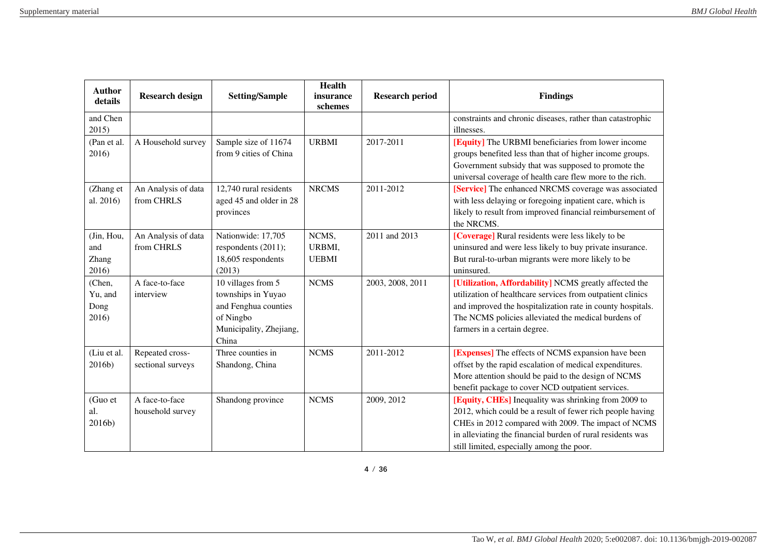| <b>Author</b><br>details            | <b>Research design</b>               | <b>Setting/Sample</b>                                                                                             | <b>Health</b><br>insurance      | <b>Research period</b> | <b>Findings</b>                                                                                                                                                                                                                                                                     |
|-------------------------------------|--------------------------------------|-------------------------------------------------------------------------------------------------------------------|---------------------------------|------------------------|-------------------------------------------------------------------------------------------------------------------------------------------------------------------------------------------------------------------------------------------------------------------------------------|
| and Chen<br>2015)                   |                                      |                                                                                                                   | schemes                         |                        | constraints and chronic diseases, rather than catastrophic<br>illnesses.                                                                                                                                                                                                            |
| (Pan et al.<br>2016)                | A Household survey                   | Sample size of 11674<br>from 9 cities of China                                                                    | <b>URBMI</b>                    | 2017-2011              | [Equity] The URBMI beneficiaries from lower income<br>groups benefited less than that of higher income groups.<br>Government subsidy that was supposed to promote the<br>universal coverage of health care flew more to the rich.                                                   |
| (Zhang et<br>al. 2016)              | An Analysis of data<br>from CHRLS    | 12,740 rural residents<br>aged 45 and older in 28<br>provinces                                                    | <b>NRCMS</b>                    | 2011-2012              | [Service] The enhanced NRCMS coverage was associated<br>with less delaying or foregoing inpatient care, which is<br>likely to result from improved financial reimbursement of<br>the NRCMS.                                                                                         |
| (Jin, Hou,<br>and<br>Zhang<br>2016) | An Analysis of data<br>from CHRLS    | Nationwide: 17,705<br>respondents (2011);<br>18,605 respondents<br>(2013)                                         | NCMS,<br>URBMI,<br><b>UEBMI</b> | 2011 and 2013          | [Coverage] Rural residents were less likely to be<br>uninsured and were less likely to buy private insurance.<br>But rural-to-urban migrants were more likely to be<br>uninsured.                                                                                                   |
| (Chen,<br>Yu, and<br>Dong<br>2016)  | A face-to-face<br>interview          | 10 villages from 5<br>townships in Yuyao<br>and Fenghua counties<br>of Ningbo<br>Municipality, Zhejiang,<br>China | <b>NCMS</b>                     | 2003, 2008, 2011       | [Utilization, Affordability] NCMS greatly affected the<br>utilization of healthcare services from outpatient clinics<br>and improved the hospitalization rate in county hospitals.<br>The NCMS policies alleviated the medical burdens of<br>farmers in a certain degree.           |
| (Liu et al.<br>2016b)               | Repeated cross-<br>sectional surveys | Three counties in<br>Shandong, China                                                                              | <b>NCMS</b>                     | 2011-2012              | [Expenses] The effects of NCMS expansion have been<br>offset by the rapid escalation of medical expenditures.<br>More attention should be paid to the design of NCMS<br>benefit package to cover NCD outpatient services.                                                           |
| (Guo et<br>al.<br>2016b)            | A face-to-face<br>household survey   | Shandong province                                                                                                 | <b>NCMS</b>                     | 2009, 2012             | [Equity, CHEs] Inequality was shrinking from 2009 to<br>2012, which could be a result of fewer rich people having<br>CHEs in 2012 compared with 2009. The impact of NCMS<br>in alleviating the financial burden of rural residents was<br>still limited, especially among the poor. |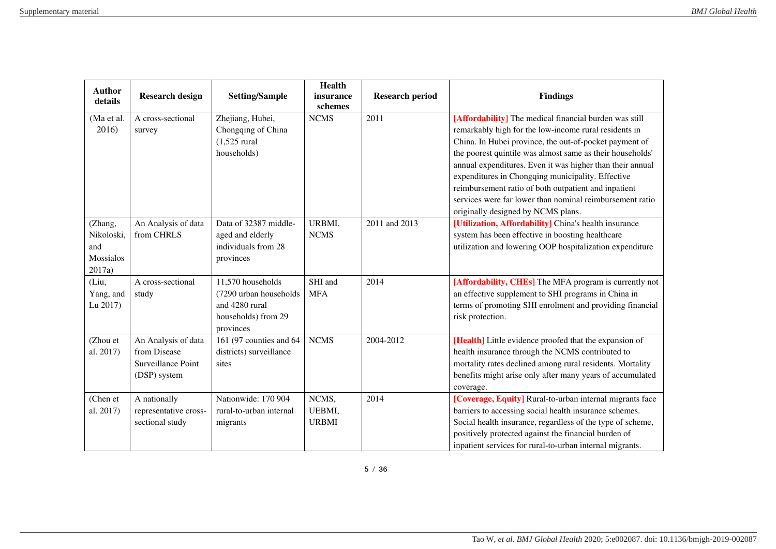| <b>Author</b><br>details                            | <b>Research design</b>                                                    | <b>Setting/Sample</b>                                                                             | <b>Health</b><br>insurance<br>schemes | <b>Research period</b> | <b>Findings</b>                                                                                                                                                                                                                                                                                                                                                                                                                                                                                                    |
|-----------------------------------------------------|---------------------------------------------------------------------------|---------------------------------------------------------------------------------------------------|---------------------------------------|------------------------|--------------------------------------------------------------------------------------------------------------------------------------------------------------------------------------------------------------------------------------------------------------------------------------------------------------------------------------------------------------------------------------------------------------------------------------------------------------------------------------------------------------------|
| (Ma et al.<br>2016)                                 | A cross-sectional<br>survey                                               | Zhejiang, Hubei,<br>Chongqing of China<br>$(1,525$ rural<br>households)                           | <b>NCMS</b>                           | 2011                   | [Affordability] The medical financial burden was still<br>remarkably high for the low-income rural residents in<br>China. In Hubei province, the out-of-pocket payment of<br>the poorest quintile was almost same as their households'<br>annual expenditures. Even it was higher than their annual<br>expenditures in Chongqing municipality. Effective<br>reimbursement ratio of both outpatient and inpatient<br>services were far lower than nominal reimbursement ratio<br>originally designed by NCMS plans. |
| (Zhang,<br>Nikoloski,<br>and<br>Mossialos<br>2017a) | An Analysis of data<br>from CHRLS                                         | Data of 32387 middle-<br>aged and elderly<br>individuals from 28<br>provinces                     | URBMI,<br><b>NCMS</b>                 | 2011 and 2013          | [Utilization, Affordability] China's health insurance<br>system has been effective in boosting healthcare<br>utilization and lowering OOP hospitalization expenditure                                                                                                                                                                                                                                                                                                                                              |
| (Liu,<br>Yang, and<br>Lu 2017)                      | A cross-sectional<br>study                                                | 11,570 households<br>(7290 urban households<br>and 4280 rural<br>households) from 29<br>provinces | SHI and<br><b>MFA</b>                 | 2014                   | [Affordability, CHEs] The MFA program is currently not<br>an effective supplement to SHI programs in China in<br>terms of promoting SHI enrolment and providing financial<br>risk protection.                                                                                                                                                                                                                                                                                                                      |
| (Zhou et<br>al. 2017)                               | An Analysis of data<br>from Disease<br>Surveillance Point<br>(DSP) system | 161 (97 counties and 64<br>districts) surveillance<br>sites                                       | <b>NCMS</b>                           | 2004-2012              | [Health] Little evidence proofed that the expansion of<br>health insurance through the NCMS contributed to<br>mortality rates declined among rural residents. Mortality<br>benefits might arise only after many years of accumulated<br>coverage.                                                                                                                                                                                                                                                                  |
| (Chen et<br>al. 2017)                               | A nationally<br>representative cross-<br>sectional study                  | Nationwide: 170 904<br>rural-to-urban internal<br>migrants                                        | NCMS,<br>UEBMI,<br><b>URBMI</b>       | 2014                   | [Coverage, Equity] Rural-to-urban internal migrants face<br>barriers to accessing social health insurance schemes.<br>Social health insurance, regardless of the type of scheme,<br>positively protected against the financial burden of<br>inpatient services for rural-to-urban internal migrants.                                                                                                                                                                                                               |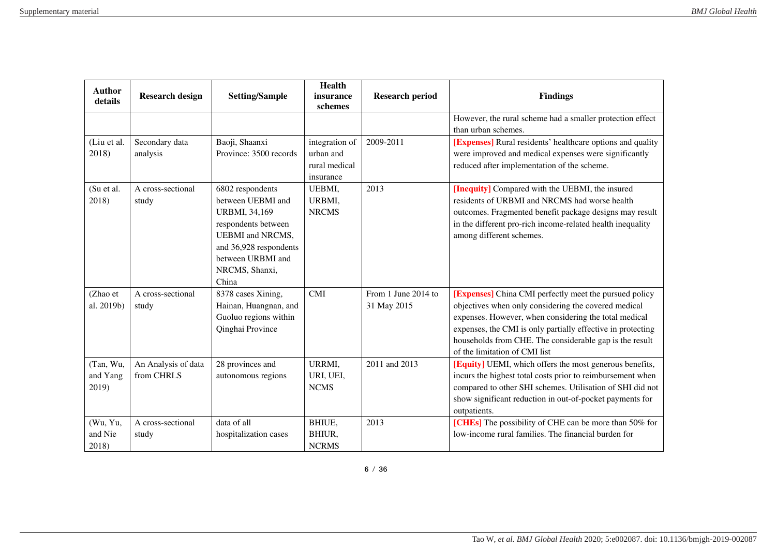| <b>Author</b><br>details       | <b>Research design</b>            | <b>Setting/Sample</b>                                                                                                                                                                     | <b>Health</b><br>insurance<br>schemes                     | <b>Research period</b>             | <b>Findings</b>                                                                                                                                                                                                                                                                                                                    |
|--------------------------------|-----------------------------------|-------------------------------------------------------------------------------------------------------------------------------------------------------------------------------------------|-----------------------------------------------------------|------------------------------------|------------------------------------------------------------------------------------------------------------------------------------------------------------------------------------------------------------------------------------------------------------------------------------------------------------------------------------|
|                                |                                   |                                                                                                                                                                                           |                                                           |                                    | However, the rural scheme had a smaller protection effect<br>than urban schemes.                                                                                                                                                                                                                                                   |
| (Liu et al.<br>2018)           | Secondary data<br>analysis        | Baoji, Shaanxi<br>Province: 3500 records                                                                                                                                                  | integration of<br>urban and<br>rural medical<br>insurance | 2009-2011                          | [Expenses] Rural residents' healthcare options and quality<br>were improved and medical expenses were significantly<br>reduced after implementation of the scheme.                                                                                                                                                                 |
| (Su et al.<br>2018)            | A cross-sectional<br>study        | 6802 respondents<br>between UEBMI and<br><b>URBMI, 34,169</b><br>respondents between<br><b>UEBMI</b> and NRCMS,<br>and 36,928 respondents<br>between URBMI and<br>NRCMS, Shanxi,<br>China | UEBMI,<br>URBMI,<br><b>NRCMS</b>                          | 2013                               | [Inequity] Compared with the UEBMI, the insured<br>residents of URBMI and NRCMS had worse health<br>outcomes. Fragmented benefit package designs may result<br>in the different pro-rich income-related health inequality<br>among different schemes.                                                                              |
| (Zhao et<br>al. 2019b)         | A cross-sectional<br>study        | 8378 cases Xining,<br>Hainan, Huangnan, and<br>Guoluo regions within<br>Qinghai Province                                                                                                  | CMI                                                       | From 1 June 2014 to<br>31 May 2015 | [Expenses] China CMI perfectly meet the pursued policy<br>objectives when only considering the covered medical<br>expenses. However, when considering the total medical<br>expenses, the CMI is only partially effective in protecting<br>households from CHE. The considerable gap is the result<br>of the limitation of CMI list |
| (Tan, Wu,<br>and Yang<br>2019) | An Analysis of data<br>from CHRLS | 28 provinces and<br>autonomous regions                                                                                                                                                    | URRMI,<br>URI, UEI,<br><b>NCMS</b>                        | 2011 and 2013                      | [Equity] UEMI, which offers the most generous benefits,<br>incurs the highest total costs prior to reimbursement when<br>compared to other SHI schemes. Utilisation of SHI did not<br>show significant reduction in out-of-pocket payments for<br>outpatients.                                                                     |
| (Wu, Yu,<br>and Nie<br>2018)   | A cross-sectional<br>study        | data of all<br>hospitalization cases                                                                                                                                                      | BHIUE,<br>BHIUR,<br><b>NCRMS</b>                          | 2013                               | [CHEs] The possibility of CHE can be more than 50% for<br>low-income rural families. The financial burden for                                                                                                                                                                                                                      |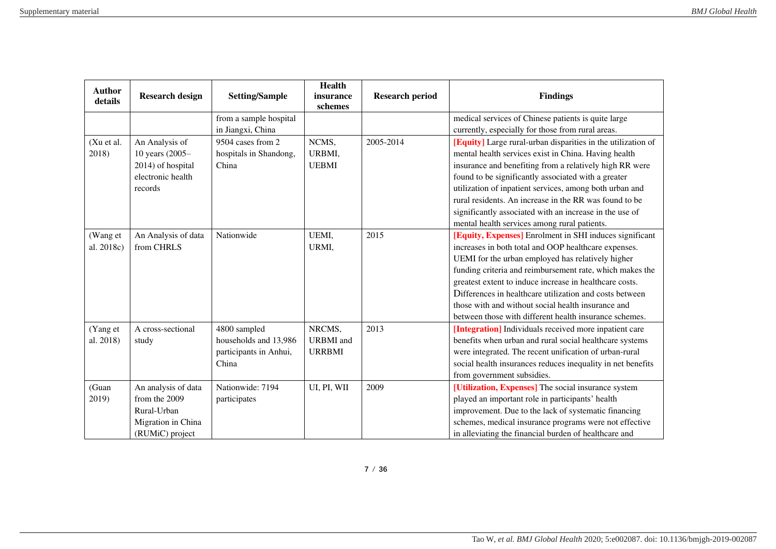| <b>Author</b><br>details | <b>Research design</b>                                                                       | <b>Setting/Sample</b>                                                    | <b>Health</b><br>insurance                  | <b>Research period</b> | <b>Findings</b>                                                                                                                                                                                                                                                                                                                                                                                                                                                        |
|--------------------------|----------------------------------------------------------------------------------------------|--------------------------------------------------------------------------|---------------------------------------------|------------------------|------------------------------------------------------------------------------------------------------------------------------------------------------------------------------------------------------------------------------------------------------------------------------------------------------------------------------------------------------------------------------------------------------------------------------------------------------------------------|
|                          |                                                                                              | from a sample hospital                                                   | schemes                                     |                        | medical services of Chinese patients is quite large                                                                                                                                                                                                                                                                                                                                                                                                                    |
|                          |                                                                                              | in Jiangxi, China                                                        |                                             |                        | currently, especially for those from rural areas.                                                                                                                                                                                                                                                                                                                                                                                                                      |
| (Xu et al.<br>2018)      | An Analysis of<br>10 years (2005-<br>2014) of hospital<br>electronic health<br>records       | 9504 cases from 2<br>hospitals in Shandong,<br>China                     | NCMS,<br>URBMI,<br><b>UEBMI</b>             | 2005-2014              | [Equity] Large rural-urban disparities in the utilization of<br>mental health services exist in China. Having health<br>insurance and benefiting from a relatively high RR were<br>found to be significantly associated with a greater<br>utilization of inpatient services, among both urban and<br>rural residents. An increase in the RR was found to be                                                                                                            |
|                          |                                                                                              |                                                                          |                                             |                        | significantly associated with an increase in the use of<br>mental health services among rural patients.                                                                                                                                                                                                                                                                                                                                                                |
| (Wang et<br>al. 2018c)   | An Analysis of data<br>from CHRLS                                                            | Nationwide                                                               | UEMI,<br>URMI,                              | 2015                   | [Equity, Expenses] Enrolment in SHI induces significant<br>increases in both total and OOP healthcare expenses.<br>UEMI for the urban employed has relatively higher<br>funding criteria and reimbursement rate, which makes the<br>greatest extent to induce increase in healthcare costs.<br>Differences in healthcare utilization and costs between<br>those with and without social health insurance and<br>between those with different health insurance schemes. |
| (Yang et<br>al. 2018)    | A cross-sectional<br>study                                                                   | 4800 sampled<br>households and 13,986<br>participants in Anhui,<br>China | NRCMS,<br><b>URBMI</b> and<br><b>URRBMI</b> | 2013                   | [Integration] Individuals received more inpatient care<br>benefits when urban and rural social healthcare systems<br>were integrated. The recent unification of urban-rural<br>social health insurances reduces inequality in net benefits<br>from government subsidies.                                                                                                                                                                                               |
| (Guan<br>2019)           | An analysis of data<br>from the 2009<br>Rural-Urban<br>Migration in China<br>(RUMiC) project | Nationwide: 7194<br>participates                                         | UI, PI, WII                                 | 2009                   | [Utilization, Expenses] The social insurance system<br>played an important role in participants' health<br>improvement. Due to the lack of systematic financing<br>schemes, medical insurance programs were not effective<br>in alleviating the financial burden of healthcare and                                                                                                                                                                                     |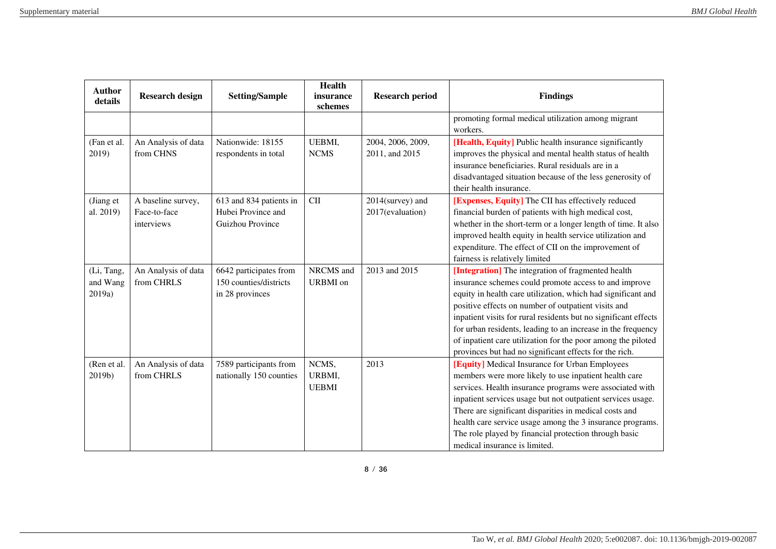| <b>Author</b><br>details         | <b>Research design</b>                           | <b>Setting/Sample</b>                                               | <b>Health</b><br>insurance<br>schemes | <b>Research period</b>               | <b>Findings</b>                                                                                                                                                                                                                                                                                                                                                                                                                                                                                 |
|----------------------------------|--------------------------------------------------|---------------------------------------------------------------------|---------------------------------------|--------------------------------------|-------------------------------------------------------------------------------------------------------------------------------------------------------------------------------------------------------------------------------------------------------------------------------------------------------------------------------------------------------------------------------------------------------------------------------------------------------------------------------------------------|
|                                  |                                                  |                                                                     |                                       |                                      | promoting formal medical utilization among migrant<br>workers.                                                                                                                                                                                                                                                                                                                                                                                                                                  |
| (Fan et al.<br>2019)             | An Analysis of data<br>from CHNS                 | Nationwide: 18155<br>respondents in total                           | UEBMI,<br><b>NCMS</b>                 | 2004, 2006, 2009,<br>2011, and 2015  | [Health, Equity] Public health insurance significantly<br>improves the physical and mental health status of health<br>insurance beneficiaries. Rural residuals are in a<br>disadvantaged situation because of the less generosity of<br>their health insurance.                                                                                                                                                                                                                                 |
| (Jiang et<br>al. 2019)           | A baseline survey,<br>Face-to-face<br>interviews | 613 and 834 patients in<br>Hubei Province and<br>Guizhou Province   | $CI$                                  | 2014(survey) and<br>2017(evaluation) | [Expenses, Equity] The CII has effectively reduced<br>financial burden of patients with high medical cost,<br>whether in the short-term or a longer length of time. It also<br>improved health equity in health service utilization and<br>expenditure. The effect of CII on the improvement of<br>fairness is relatively limited                                                                                                                                                               |
| (Li, Tang,<br>and Wang<br>2019a) | An Analysis of data<br>from CHRLS                | 6642 participates from<br>150 counties/districts<br>in 28 provinces | NRCMS and<br><b>URBMI</b> on          | 2013 and 2015                        | [Integration] The integration of fragmented health<br>insurance schemes could promote access to and improve<br>equity in health care utilization, which had significant and<br>positive effects on number of outpatient visits and<br>inpatient visits for rural residents but no significant effects<br>for urban residents, leading to an increase in the frequency<br>of inpatient care utilization for the poor among the piloted<br>provinces but had no significant effects for the rich. |
| (Ren et al.<br>2019b)            | An Analysis of data<br>from CHRLS                | 7589 participants from<br>nationally 150 counties                   | NCMS,<br>URBMI,<br><b>UEBMI</b>       | 2013                                 | [Equity] Medical Insurance for Urban Employees<br>members were more likely to use inpatient health care<br>services. Health insurance programs were associated with<br>inpatient services usage but not outpatient services usage.<br>There are significant disparities in medical costs and<br>health care service usage among the 3 insurance programs.<br>The role played by financial protection through basic<br>medical insurance is limited.                                             |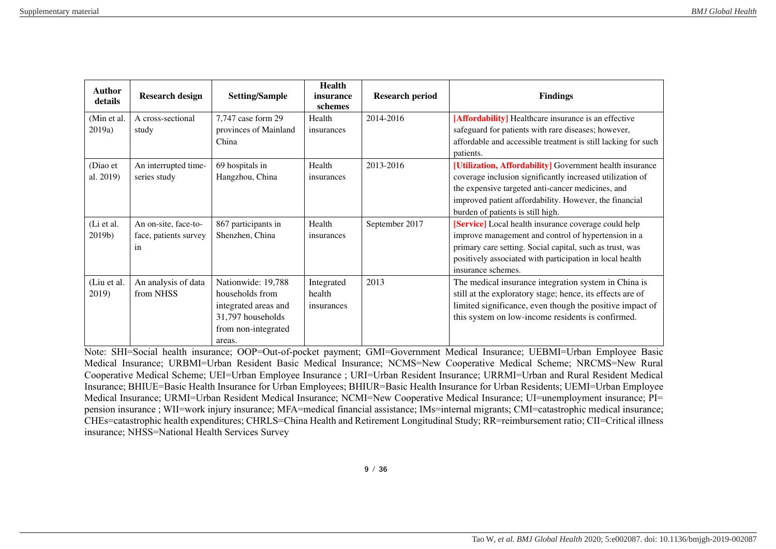| <b>Author</b><br>details | <b>Research design</b> | <b>Setting/Sample</b> | <b>Health</b><br>insurance<br>schemes | <b>Research period</b> | <b>Findings</b>                                               |
|--------------------------|------------------------|-----------------------|---------------------------------------|------------------------|---------------------------------------------------------------|
| (Min et al.              | A cross-sectional      | 7,747 case form 29    | Health                                | 2014-2016              | [Affordability] Healthcare insurance is an effective          |
| 2019a)                   | study                  | provinces of Mainland | insurances                            |                        | safeguard for patients with rare diseases; however,           |
|                          |                        | China                 |                                       |                        | affordable and accessible treatment is still lacking for such |
|                          |                        |                       |                                       |                        | patients.                                                     |
| (Diao et                 | An interrupted time-   | 69 hospitals in       | Health                                | 2013-2016              | [Utilization, Affordability] Government health insurance      |
| al. 2019)                | series study           | Hangzhou, China       | insurances                            |                        | coverage inclusion significantly increased utilization of     |
|                          |                        |                       |                                       |                        | the expensive targeted anti-cancer medicines, and             |
|                          |                        |                       |                                       |                        | improved patient affordability. However, the financial        |
|                          |                        |                       |                                       |                        | burden of patients is still high.                             |
| (Li et al.               | An on-site, face-to-   | 867 participants in   | Health                                | September 2017         | [Service] Local health insurance coverage could help          |
| $2019b$ )                | face, patients survey  | Shenzhen, China       | insurances                            |                        | improve management and control of hypertension in a           |
|                          | in                     |                       |                                       |                        | primary care setting. Social capital, such as trust, was      |
|                          |                        |                       |                                       |                        | positively associated with participation in local health      |
|                          |                        |                       |                                       |                        | insurance schemes.                                            |
| (Liu et al.              | An analysis of data    | Nationwide: 19,788    | Integrated                            | 2013                   | The medical insurance integration system in China is          |
| 2019)                    | from NHSS              | households from       | health                                |                        | still at the exploratory stage; hence, its effects are of     |
|                          |                        | integrated areas and  | insurances                            |                        | limited significance, even though the positive impact of      |
|                          |                        | 31,797 households     |                                       |                        | this system on low-income residents is confirmed.             |
|                          |                        | from non-integrated   |                                       |                        |                                                               |
|                          |                        | areas.                |                                       |                        |                                                               |

Note: SHI=Social health insurance; OOP=Out-of-pocket payment; GMI=Government Medical Insurance; UEBMI=Urban Employee Basic Medical Insurance; URBMI=Urban Resident Basic Medical Insurance; NCMS=New Cooperative Medical Scheme; NRCMS=New Rural Cooperative Medical Scheme; UEI=Urban Employee Insurance ; URI=Urban Resident Insurance; URRMI=Urban and Rural Resident Medical Insurance; BHIUE=Basic Health Insurance for Urban Employees; BHIUR=Basic Health Insurance for Urban Residents; UEMI=Urban Employee Medical Insurance; URMI=Urban Resident Medical Insurance; NCMI=New Cooperative Medical Insurance; UI=unemployment insurance; PI= pension insurance ; WII=work injury insurance; MFA=medical financial assistance; IMs=internal migrants; CMI=catastrophic medical insurance; CHEs=catastrophic health expenditures; CHRLS=China Health and Retirement Longitudinal Study; RR=reimbursement ratio; CII=Critical illness insurance; NHSS=National Health Services Survey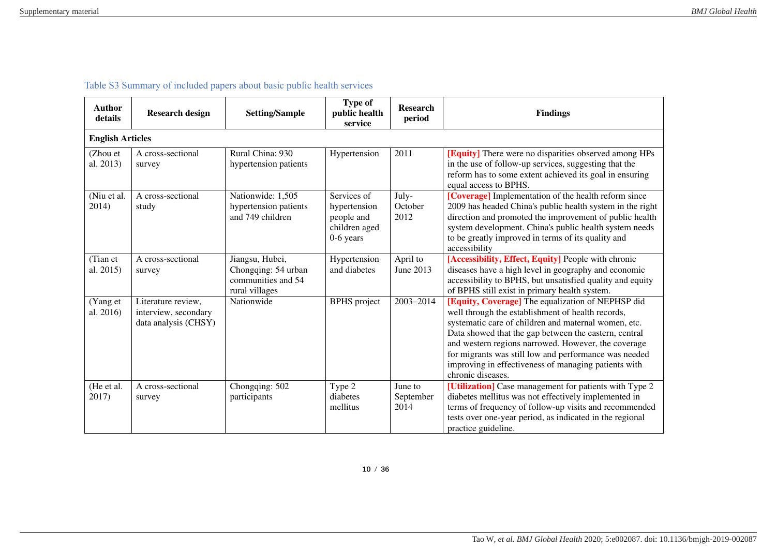| <b>Author</b><br>details | <b>Research design</b>                                             | <b>Setting/Sample</b>                                                          | Type of<br>public health<br>service                                       | <b>Research</b><br>period    | <b>Findings</b>                                                                                                                                                                                                                                                                                                                                                                                                      |  |  |  |  |  |
|--------------------------|--------------------------------------------------------------------|--------------------------------------------------------------------------------|---------------------------------------------------------------------------|------------------------------|----------------------------------------------------------------------------------------------------------------------------------------------------------------------------------------------------------------------------------------------------------------------------------------------------------------------------------------------------------------------------------------------------------------------|--|--|--|--|--|
|                          | <b>English Articles</b>                                            |                                                                                |                                                                           |                              |                                                                                                                                                                                                                                                                                                                                                                                                                      |  |  |  |  |  |
| (Zhou et<br>al. 2013)    | A cross-sectional<br>survey                                        | Rural China: 930<br>hypertension patients                                      | Hypertension                                                              | 2011                         | [Equity] There were no disparities observed among HPs<br>in the use of follow-up services, suggesting that the<br>reform has to some extent achieved its goal in ensuring<br>equal access to BPHS.                                                                                                                                                                                                                   |  |  |  |  |  |
| (Niu et al.<br>2014)     | A cross-sectional<br>study                                         | Nationwide: 1,505<br>hypertension patients<br>and 749 children                 | Services of<br>hypertension<br>people and<br>children aged<br>$0-6$ years | July-<br>October<br>2012     | [Coverage] Implementation of the health reform since<br>2009 has headed China's public health system in the right<br>direction and promoted the improvement of public health<br>system development. China's public health system needs<br>to be greatly improved in terms of its quality and<br>accessibility                                                                                                        |  |  |  |  |  |
| (Tian et<br>al. 2015)    | A cross-sectional<br>survey                                        | Jiangsu, Hubei,<br>Chongqing: 54 urban<br>communities and 54<br>rural villages | Hypertension<br>and diabetes                                              | April to<br>June 2013        | [Accessibility, Effect, Equity] People with chronic<br>diseases have a high level in geography and economic<br>accessibility to BPHS, but unsatisfied quality and equity<br>of BPHS still exist in primary health system.                                                                                                                                                                                            |  |  |  |  |  |
| (Yang et<br>al. 2016)    | Literature review,<br>interview, secondary<br>data analysis (CHSY) | Nationwide                                                                     | <b>BPHS</b> project                                                       | 2003-2014                    | [Equity, Coverage] The equalization of NEPHSP did<br>well through the establishment of health records,<br>systematic care of children and maternal women, etc.<br>Data showed that the gap between the eastern, central<br>and western regions narrowed. However, the coverage<br>for migrants was still low and performance was needed<br>improving in effectiveness of managing patients with<br>chronic diseases. |  |  |  |  |  |
| (He et al.<br>2017)      | A cross-sectional<br>survey                                        | Chongqing: 502<br>participants                                                 | Type 2<br>diabetes<br>mellitus                                            | June to<br>September<br>2014 | [Utilization] Case management for patients with Type 2<br>diabetes mellitus was not effectively implemented in<br>terms of frequency of follow-up visits and recommended<br>tests over one-year period, as indicated in the regional<br>practice guideline.                                                                                                                                                          |  |  |  |  |  |

Table S3 Summary of included papers about basic public health services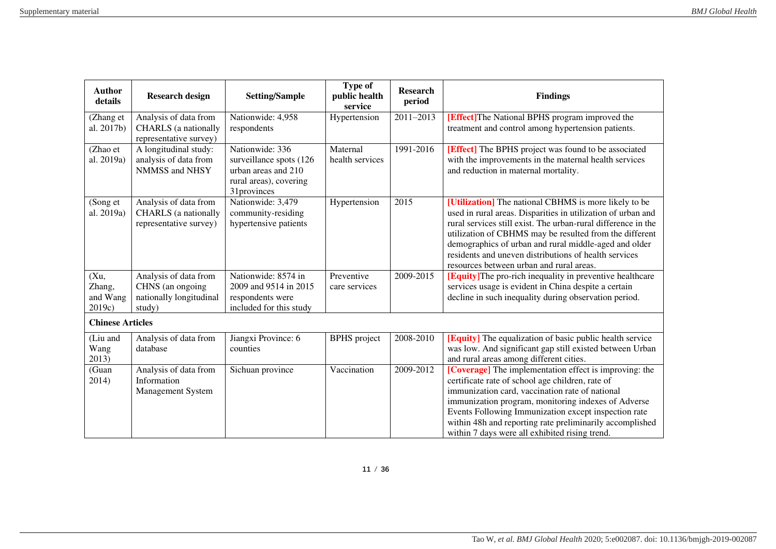| <b>Author</b><br>details             | <b>Research design</b>                                                         | <b>Setting/Sample</b>                                                                                      | <b>Type of</b><br>public health<br>service | <b>Research</b><br>period | <b>Findings</b>                                                                                                                                                                                                                                                                                                                                                                                                 |
|--------------------------------------|--------------------------------------------------------------------------------|------------------------------------------------------------------------------------------------------------|--------------------------------------------|---------------------------|-----------------------------------------------------------------------------------------------------------------------------------------------------------------------------------------------------------------------------------------------------------------------------------------------------------------------------------------------------------------------------------------------------------------|
| (Zhang et<br>al. 2017b)              | Analysis of data from<br><b>CHARLS</b> (a nationally<br>representative survey) | Nationwide: 4,958<br>respondents                                                                           | Hypertension                               | 2011-2013                 | [Effect] The National BPHS program improved the<br>treatment and control among hypertension patients.                                                                                                                                                                                                                                                                                                           |
| (Zhao et<br>al. 2019a)               | A longitudinal study:<br>analysis of data from<br>NMMSS and NHSY               | Nationwide: 336<br>surveillance spots (126<br>urban areas and 210<br>rural areas), covering<br>31provinces | Maternal<br>health services                | 1991-2016                 | [Effect] The BPHS project was found to be associated<br>with the improvements in the maternal health services<br>and reduction in maternal mortality.                                                                                                                                                                                                                                                           |
| (Song et<br>al. 2019a)               | Analysis of data from<br><b>CHARLS</b> (a nationally<br>representative survey) | Nationwide: 3,479<br>community-residing<br>hypertensive patients                                           | Hypertension                               | 2015                      | [Utilization] The national CBHMS is more likely to be<br>used in rural areas. Disparities in utilization of urban and<br>rural services still exist. The urban-rural difference in the<br>utilization of CBHMS may be resulted from the different<br>demographics of urban and rural middle-aged and older<br>residents and uneven distributions of health services<br>resources between urban and rural areas. |
| (Xu,<br>Zhang,<br>and Wang<br>2019c) | Analysis of data from<br>CHNS (an ongoing<br>nationally longitudinal<br>study) | Nationwide: 8574 in<br>2009 and 9514 in 2015<br>respondents were<br>included for this study                | Preventive<br>care services                | 2009-2015                 | [Equity] The pro-rich inequality in preventive healthcare<br>services usage is evident in China despite a certain<br>decline in such inequality during observation period.                                                                                                                                                                                                                                      |
| <b>Chinese Articles</b>              |                                                                                |                                                                                                            |                                            |                           |                                                                                                                                                                                                                                                                                                                                                                                                                 |
| (Liu and<br>Wang<br>2013)            | Analysis of data from<br>database                                              | Jiangxi Province: 6<br>counties                                                                            | <b>BPHS</b> project                        | 2008-2010                 | [Equity] The equalization of basic public health service<br>was low. And significant gap still existed between Urban<br>and rural areas among different cities.                                                                                                                                                                                                                                                 |
| (Guan<br>2014)                       | Analysis of data from<br>Information<br><b>Management System</b>               | Sichuan province                                                                                           | Vaccination                                | 2009-2012                 | [Coverage] The implementation effect is improving: the<br>certificate rate of school age children, rate of<br>immunization card, vaccination rate of national<br>immunization program, monitoring indexes of Adverse<br>Events Following Immunization except inspection rate<br>within 48h and reporting rate preliminarily accomplished<br>within 7 days were all exhibited rising trend.                      |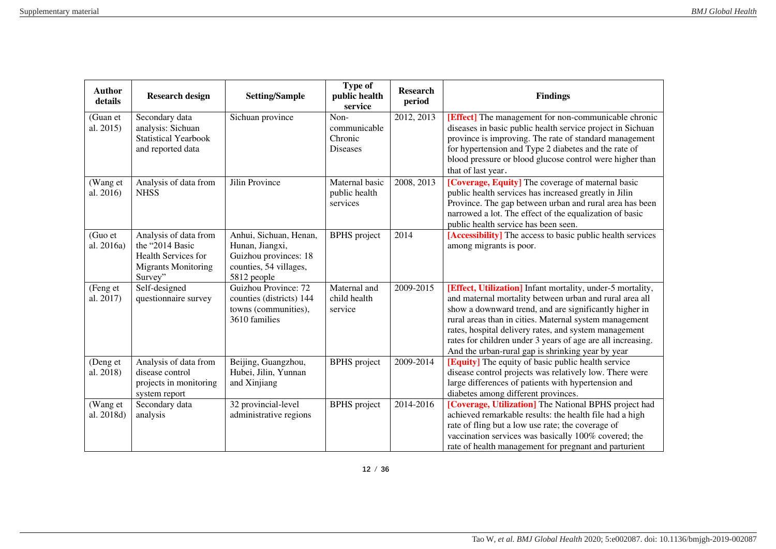| <b>Author</b><br>details | <b>Research design</b>                                                                                   | <b>Setting/Sample</b>                                                                                       | <b>Type of</b><br>public health<br>service         | <b>Research</b><br>period | <b>Findings</b>                                                                                                                                                                                                                                                                                                                                                                                                        |
|--------------------------|----------------------------------------------------------------------------------------------------------|-------------------------------------------------------------------------------------------------------------|----------------------------------------------------|---------------------------|------------------------------------------------------------------------------------------------------------------------------------------------------------------------------------------------------------------------------------------------------------------------------------------------------------------------------------------------------------------------------------------------------------------------|
| (Guan et<br>al. 2015)    | Secondary data<br>analysis: Sichuan<br><b>Statistical Yearbook</b><br>and reported data                  | Sichuan province                                                                                            | Non-<br>communicable<br>Chronic<br><b>Diseases</b> | 2012, 2013                | [Effect] The management for non-communicable chronic<br>diseases in basic public health service project in Sichuan<br>province is improving. The rate of standard management<br>for hypertension and Type 2 diabetes and the rate of<br>blood pressure or blood glucose control were higher than<br>that of last year.                                                                                                 |
| (Wang et<br>al. 2016)    | Analysis of data from<br><b>NHSS</b>                                                                     | Jilin Province                                                                                              | Maternal basic<br>public health<br>services        | 2008, 2013                | [Coverage, Equity] The coverage of maternal basic<br>public health services has increased greatly in Jilin<br>Province. The gap between urban and rural area has been<br>narrowed a lot. The effect of the equalization of basic<br>public health service has been seen.                                                                                                                                               |
| (Guo et<br>al. 2016a)    | Analysis of data from<br>the "2014 Basic<br>Health Services for<br><b>Migrants Monitoring</b><br>Survey" | Anhui, Sichuan, Henan,<br>Hunan, Jiangxi,<br>Guizhou provinces: 18<br>counties, 54 villages,<br>5812 people | <b>BPHS</b> project                                | 2014                      | [Accessibility] The access to basic public health services<br>among migrants is poor.                                                                                                                                                                                                                                                                                                                                  |
| (Feng et<br>al. 2017)    | Self-designed<br>questionnaire survey                                                                    | Guizhou Province: 72<br>counties (districts) 144<br>towns (communities),<br>3610 families                   | Maternal and<br>child health<br>service            | 2009-2015                 | [Effect, Utilization] Infant mortality, under-5 mortality,<br>and maternal mortality between urban and rural area all<br>show a downward trend, and are significantly higher in<br>rural areas than in cities. Maternal system management<br>rates, hospital delivery rates, and system management<br>rates for children under 3 years of age are all increasing.<br>And the urban-rural gap is shrinking year by year |
| (Deng et<br>al. 2018)    | Analysis of data from<br>disease control<br>projects in monitoring<br>system report                      | Beijing, Guangzhou,<br>Hubei, Jilin, Yunnan<br>and Xinjiang                                                 | <b>BPHS</b> project                                | 2009-2014                 | <b>[Equity]</b> The equity of basic public health service<br>disease control projects was relatively low. There were<br>large differences of patients with hypertension and<br>diabetes among different provinces.                                                                                                                                                                                                     |
| (Wang et<br>al. 2018d)   | Secondary data<br>analysis                                                                               | 32 provincial-level<br>administrative regions                                                               | <b>BPHS</b> project                                | 2014-2016                 | [Coverage, Utilization] The National BPHS project had<br>achieved remarkable results: the health file had a high<br>rate of fling but a low use rate; the coverage of<br>vaccination services was basically 100% covered; the<br>rate of health management for pregnant and parturient                                                                                                                                 |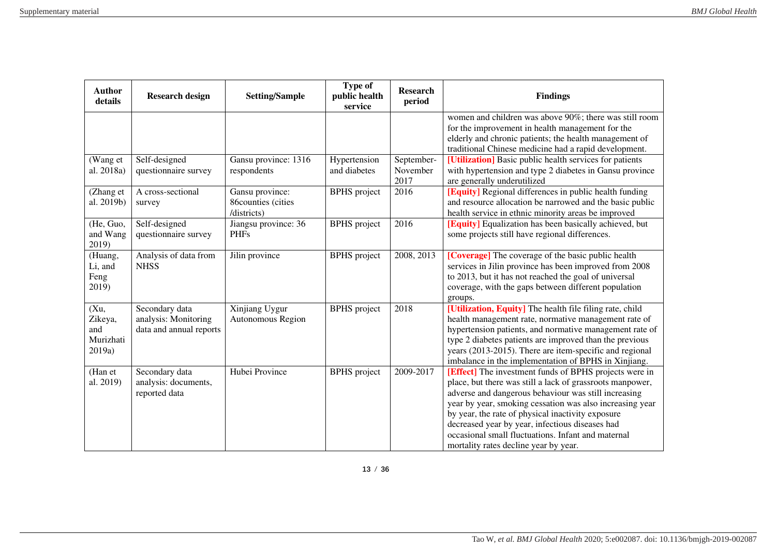| <b>Author</b><br>details                      | <b>Research design</b>                                            | <b>Setting/Sample</b>                                | Type of<br>public health<br>service | <b>Research</b><br>period      | <b>Findings</b>                                                                                                                                                                                                                                                                                                                                                                                                                                |
|-----------------------------------------------|-------------------------------------------------------------------|------------------------------------------------------|-------------------------------------|--------------------------------|------------------------------------------------------------------------------------------------------------------------------------------------------------------------------------------------------------------------------------------------------------------------------------------------------------------------------------------------------------------------------------------------------------------------------------------------|
|                                               |                                                                   |                                                      |                                     |                                | women and children was above 90%; there was still room<br>for the improvement in health management for the<br>elderly and chronic patients; the health management of<br>traditional Chinese medicine had a rapid development.                                                                                                                                                                                                                  |
| (Wang et<br>al. 2018a)                        | Self-designed<br>questionnaire survey                             | Gansu province: 1316<br>respondents                  | Hypertension<br>and diabetes        | September-<br>November<br>2017 | [Utilization] Basic public health services for patients<br>with hypertension and type 2 diabetes in Gansu province<br>are generally underutilized                                                                                                                                                                                                                                                                                              |
| (Zhang et<br>al. 2019b)                       | A cross-sectional<br>survey                                       | Gansu province:<br>86counties (cities<br>/districts) | <b>BPHS</b> project                 | 2016                           | <b>[Equity]</b> Regional differences in public health funding<br>and resource allocation be narrowed and the basic public<br>health service in ethnic minority areas be improved                                                                                                                                                                                                                                                               |
| (He, Guo,<br>and Wang<br>2019)                | Self-designed<br>questionnaire survey                             | Jiangsu province: 36<br><b>PHFs</b>                  | <b>BPHS</b> project                 | 2016                           | [Equity] Equalization has been basically achieved, but<br>some projects still have regional differences.                                                                                                                                                                                                                                                                                                                                       |
| (Huang,<br>Li, and<br>Feng<br>2019)           | Analysis of data from<br><b>NHSS</b>                              | Jilin province                                       | <b>BPHS</b> project                 | 2008, 2013                     | [Coverage] The coverage of the basic public health<br>services in Jilin province has been improved from 2008<br>to 2013, but it has not reached the goal of universal<br>coverage, with the gaps between different population<br>groups.                                                                                                                                                                                                       |
| (Xu,<br>Zikeya,<br>and<br>Murizhati<br>2019a) | Secondary data<br>analysis: Monitoring<br>data and annual reports | Xinjiang Uygur<br>Autonomous Region                  | <b>BPHS</b> project                 | 2018                           | [Utilization, Equity] The health file filing rate, child<br>health management rate, normative management rate of<br>hypertension patients, and normative management rate of<br>type 2 diabetes patients are improved than the previous<br>years (2013-2015). There are item-specific and regional<br>imbalance in the implementation of BPHS in Xinjiang.                                                                                      |
| (Han et<br>al. 2019)                          | Secondary data<br>analysis: documents,<br>reported data           | Hubei Province                                       | <b>BPHS</b> project                 | 2009-2017                      | [Effect] The investment funds of BPHS projects were in<br>place, but there was still a lack of grassroots manpower,<br>adverse and dangerous behaviour was still increasing<br>year by year, smoking cessation was also increasing year<br>by year, the rate of physical inactivity exposure<br>decreased year by year, infectious diseases had<br>occasional small fluctuations. Infant and maternal<br>mortality rates decline year by year. |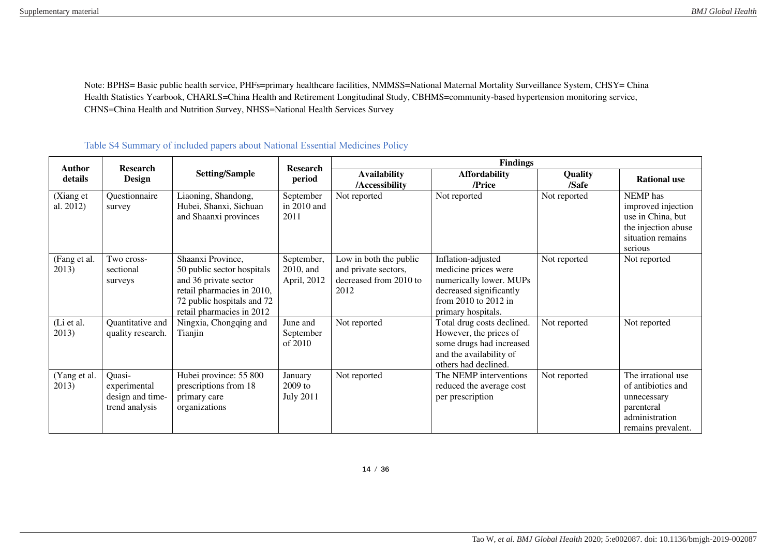Note: BPHS= Basic public health service, PHFs=primary healthcare facilities, NMMSS=National Maternal Mortality Surveillance System, CHSY= China Health Statistics Yearbook, CHARLS=China Health and Retirement Longitudinal Study, CBHMS=community-based hypertension monitoring service, CHNS=China Health and Nutrition Survey, NHSS=National Health Services Survey

| <b>Author</b>          | <b>Research</b>                                              |                                                                                                                                                                   | <b>Research</b>                          | <b>Findings</b>                                                                  |                                                                                                                                                |                  |                                                                                                               |  |  |
|------------------------|--------------------------------------------------------------|-------------------------------------------------------------------------------------------------------------------------------------------------------------------|------------------------------------------|----------------------------------------------------------------------------------|------------------------------------------------------------------------------------------------------------------------------------------------|------------------|---------------------------------------------------------------------------------------------------------------|--|--|
| details                | <b>Design</b>                                                | <b>Setting/Sample</b>                                                                                                                                             | period                                   | <b>Availability</b><br>/Accessibility                                            | <b>Affordability</b><br>/Price                                                                                                                 | Quality<br>/Safe | <b>Rational use</b>                                                                                           |  |  |
| (Xiang et<br>al. 2012) | Questionnaire<br>survey                                      | Liaoning, Shandong,<br>Hubei, Shanxi, Sichuan<br>and Shaanxi provinces                                                                                            | September<br>in 2010 and<br>2011         | Not reported                                                                     | Not reported                                                                                                                                   | Not reported     | NEMP has<br>improved injection<br>use in China, but<br>the injection abuse<br>situation remains<br>serious    |  |  |
| (Fang et al.<br>2013)  | Two cross-<br>sectional<br>surveys                           | Shaanxi Province,<br>50 public sector hospitals<br>and 36 private sector<br>retail pharmacies in 2010,<br>72 public hospitals and 72<br>retail pharmacies in 2012 | September,<br>2010, and<br>April, 2012   | Low in both the public<br>and private sectors,<br>decreased from 2010 to<br>2012 | Inflation-adjusted<br>medicine prices were<br>numerically lower. MUPs<br>decreased significantly<br>from 2010 to 2012 in<br>primary hospitals. | Not reported     | Not reported                                                                                                  |  |  |
| (Li et al.<br>2013)    | Quantitative and<br>quality research.                        | Ningxia, Chongqing and<br>Tianjin                                                                                                                                 | June and<br>September<br>of 2010         | Not reported                                                                     | Total drug costs declined.<br>However, the prices of<br>some drugs had increased<br>and the availability of<br>others had declined.            | Not reported     | Not reported                                                                                                  |  |  |
| (Yang et al.<br>2013)  | Quasi-<br>experimental<br>design and time-<br>trend analysis | Hubei province: 55 800<br>prescriptions from 18<br>primary care<br>organizations                                                                                  | January<br>$2009$ to<br><b>July 2011</b> | Not reported                                                                     | The NEMP interventions<br>reduced the average cost<br>per prescription                                                                         | Not reported     | The irrational use<br>of antibiotics and<br>unnecessary<br>parenteral<br>administration<br>remains prevalent. |  |  |

## Table S4 Summary of included papers about National Essential Medicines Policy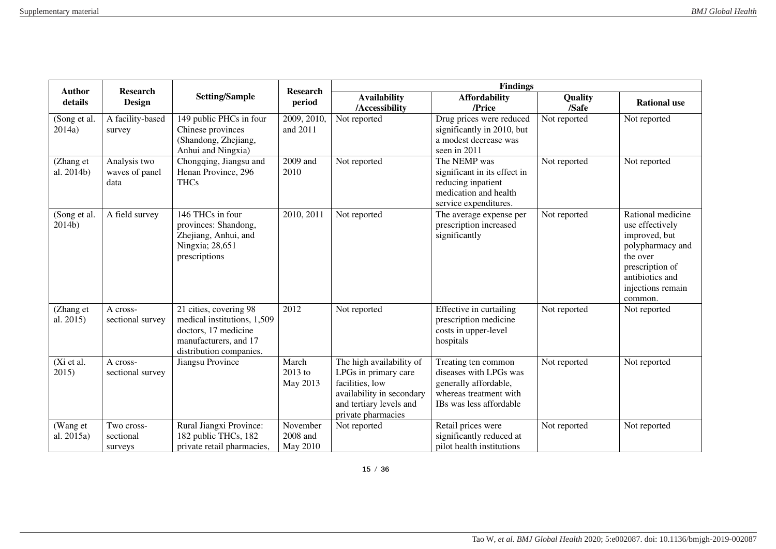| <b>Author</b><br><b>Research</b> |                                        |                                                                                                                                   | <b>Research</b>                  |                                                                                                                                                   | <b>Findings</b>                                                                                                             |                  |                                                                                                                                                             |
|----------------------------------|----------------------------------------|-----------------------------------------------------------------------------------------------------------------------------------|----------------------------------|---------------------------------------------------------------------------------------------------------------------------------------------------|-----------------------------------------------------------------------------------------------------------------------------|------------------|-------------------------------------------------------------------------------------------------------------------------------------------------------------|
| details                          | <b>Design</b>                          | <b>Setting/Sample</b>                                                                                                             | period                           | <b>Availability</b><br>/Accessibility                                                                                                             | <b>Affordability</b><br>/Price                                                                                              | Quality<br>/Safe | <b>Rational use</b>                                                                                                                                         |
| Song et al.<br>2014a)            | A facility-based<br>survey             | 149 public PHCs in four<br>Chinese provinces<br>(Shandong, Zhejiang,<br>Anhui and Ningxia)                                        | 2009, 2010,<br>and 2011          | Not reported                                                                                                                                      | Drug prices were reduced<br>significantly in 2010, but<br>a modest decrease was<br>seen in 2011                             | Not reported     | Not reported                                                                                                                                                |
| (Zhang et<br>al. 2014b)          | Analysis two<br>waves of panel<br>data | Chongqing, Jiangsu and<br>Henan Province, 296<br><b>THCs</b>                                                                      | 2009 and<br>2010                 | Not reported                                                                                                                                      | The NEMP was<br>significant in its effect in<br>reducing inpatient<br>medication and health<br>service expenditures.        | Not reported     | Not reported                                                                                                                                                |
| (Song et al.<br>2014b)           | A field survey                         | 146 THCs in four<br>provinces: Shandong,<br>Zhejiang, Anhui, and<br>Ningxia; 28,651<br>prescriptions                              | 2010, 2011                       | Not reported                                                                                                                                      | The average expense per<br>prescription increased<br>significantly                                                          | Not reported     | Rational medicine<br>use effectively<br>improved, but<br>polypharmacy and<br>the over<br>prescription of<br>antibiotics and<br>injections remain<br>common. |
| (Zhang et<br>al. 2015)           | A cross-<br>sectional survey           | 21 cities, covering 98<br>medical institutions, 1,509<br>doctors, 17 medicine<br>manufacturers, and 17<br>distribution companies. | 2012                             | Not reported                                                                                                                                      | Effective in curtailing<br>prescription medicine<br>costs in upper-level<br>hospitals                                       | Not reported     | Not reported                                                                                                                                                |
| (Xi et al.<br>2015)              | A cross-<br>sectional survey           | Jiangsu Province                                                                                                                  | March<br>2013 to<br>May 2013     | The high availability of<br>LPGs in primary care<br>facilities, low<br>availability in secondary<br>and tertiary levels and<br>private pharmacies | Treating ten common<br>diseases with LPGs was<br>generally affordable,<br>whereas treatment with<br>IBs was less affordable | Not reported     | Not reported                                                                                                                                                |
| (Wang et<br>al. 2015a)           | Two cross-<br>sectional<br>surveys     | Rural Jiangxi Province:<br>182 public THCs, 182<br>private retail pharmacies,                                                     | November<br>2008 and<br>May 2010 | Not reported                                                                                                                                      | Retail prices were<br>significantly reduced at<br>pilot health institutions                                                 | Not reported     | Not reported                                                                                                                                                |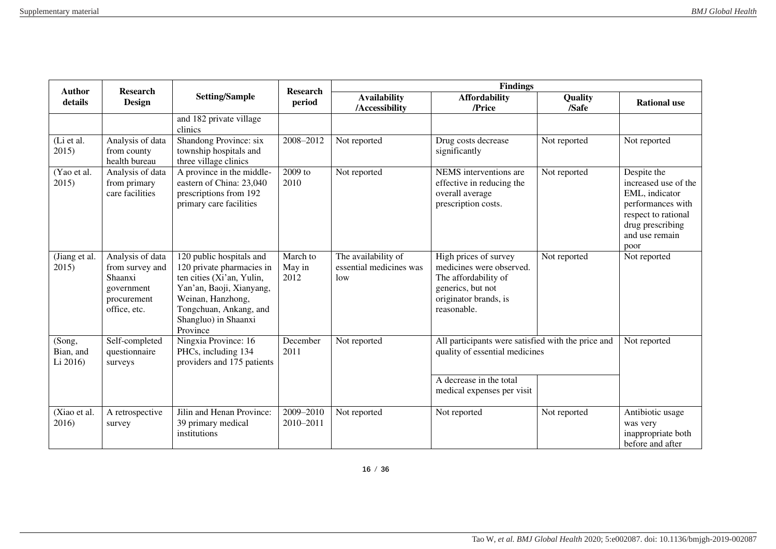| <b>Author</b><br><b>Research</b> |                                                                                             |                                                                                                                                                                                                   | <b>Research</b>            |                                                       | <b>Findings</b>                                                                                                                               |                  |                                                                                                                                                 |
|----------------------------------|---------------------------------------------------------------------------------------------|---------------------------------------------------------------------------------------------------------------------------------------------------------------------------------------------------|----------------------------|-------------------------------------------------------|-----------------------------------------------------------------------------------------------------------------------------------------------|------------------|-------------------------------------------------------------------------------------------------------------------------------------------------|
| details                          | <b>Design</b>                                                                               | <b>Setting/Sample</b>                                                                                                                                                                             | period                     | <b>Availability</b><br>/Accessibility                 | <b>Affordability</b><br>/Price                                                                                                                | Quality<br>/Safe | <b>Rational use</b>                                                                                                                             |
|                                  |                                                                                             | and 182 private village<br>clinics                                                                                                                                                                |                            |                                                       |                                                                                                                                               |                  |                                                                                                                                                 |
| (Li et al.<br>2015)              | Analysis of data<br>from county<br>health bureau                                            | Shandong Province: six<br>township hospitals and<br>three village clinics                                                                                                                         | 2008-2012                  | Not reported                                          | Drug costs decrease<br>significantly                                                                                                          | Not reported     | Not reported                                                                                                                                    |
| (Yao et al.<br>2015)             | Analysis of data<br>from primary<br>care facilities                                         | A province in the middle-<br>eastern of China: 23,040<br>prescriptions from 192<br>primary care facilities                                                                                        | 2009 to<br>2010            | Not reported                                          | NEMS interventions are<br>effective in reducing the<br>overall average<br>prescription costs.                                                 | Not reported     | Despite the<br>increased use of the<br>EML, indicator<br>performances with<br>respect to rational<br>drug prescribing<br>and use remain<br>poor |
| (Jiang et al.<br>2015)           | Analysis of data<br>from survey and<br>Shaanxi<br>government<br>procurement<br>office, etc. | 120 public hospitals and<br>120 private pharmacies in<br>ten cities (Xi'an, Yulin,<br>Yan'an, Baoji, Xianyang,<br>Weinan, Hanzhong,<br>Tongchuan, Ankang, and<br>Shangluo) in Shaanxi<br>Province | March to<br>May in<br>2012 | The availability of<br>essential medicines was<br>low | High prices of survey<br>medicines were observed.<br>The affordability of<br>generics, but not<br>originator brands, is<br>reasonable.        | Not reported     | Not reported                                                                                                                                    |
| (Song,<br>Bian, and<br>Li 2016)  | Self-completed<br>questionnaire<br>surveys                                                  | Ningxia Province: 16<br>PHCs, including 134<br>providers and 175 patients                                                                                                                         | December<br>2011           | Not reported                                          | All participants were satisfied with the price and<br>quality of essential medicines<br>A decrease in the total<br>medical expenses per visit |                  | Not reported                                                                                                                                    |
| (Xiao et al.<br>2016)            | A retrospective<br>survey                                                                   | Jilin and Henan Province:<br>39 primary medical<br>institutions                                                                                                                                   | 2009-2010<br>2010-2011     | Not reported                                          | Not reported                                                                                                                                  | Not reported     | Antibiotic usage<br>was very<br>inappropriate both<br>before and after                                                                          |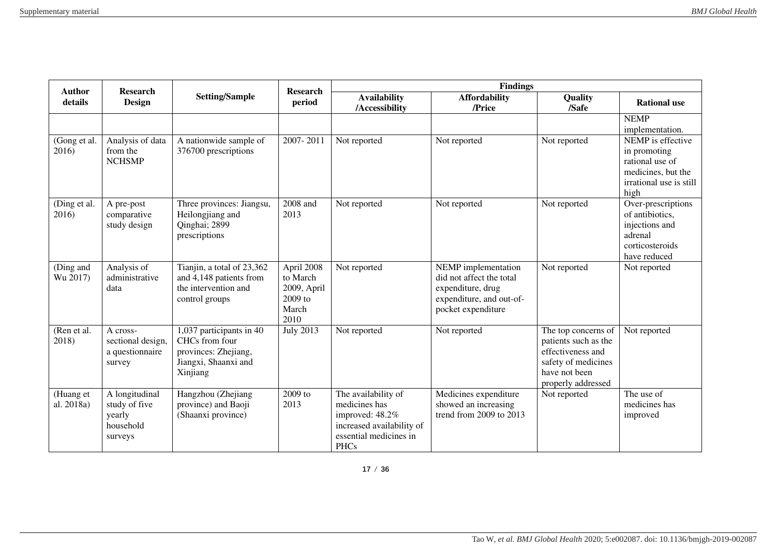| <b>Author</b><br><b>Research</b><br><b>Research</b> |                                                                   |                                                                                                        | <b>Findings</b>                                                   |                                                                                                                               |                                                                                                                        |                                                                                                                                |                                                                                                               |
|-----------------------------------------------------|-------------------------------------------------------------------|--------------------------------------------------------------------------------------------------------|-------------------------------------------------------------------|-------------------------------------------------------------------------------------------------------------------------------|------------------------------------------------------------------------------------------------------------------------|--------------------------------------------------------------------------------------------------------------------------------|---------------------------------------------------------------------------------------------------------------|
| details                                             | <b>Design</b>                                                     | <b>Setting/Sample</b>                                                                                  | period                                                            | <b>Availability</b><br>/Accessibility                                                                                         | <b>Affordability</b><br>/Price                                                                                         | Quality<br>/Safe                                                                                                               | <b>Rational use</b>                                                                                           |
|                                                     |                                                                   |                                                                                                        |                                                                   |                                                                                                                               |                                                                                                                        |                                                                                                                                | <b>NEMP</b><br>implementation.                                                                                |
| (Gong et al.<br>2016)                               | Analysis of data<br>from the<br><b>NCHSMP</b>                     | A nationwide sample of<br>376700 prescriptions                                                         | 2007-2011                                                         | Not reported                                                                                                                  | Not reported                                                                                                           | Not reported                                                                                                                   | NEMP is effective<br>in promoting<br>rational use of<br>medicines, but the<br>irrational use is still<br>high |
| (Ding et al.<br>2016)                               | A pre-post<br>comparative<br>study design                         | Three provinces: Jiangsu,<br>Heilongjiang and<br>Qinghai; 2899<br>prescriptions                        | 2008 and<br>2013                                                  | Not reported                                                                                                                  | Not reported                                                                                                           | Not reported                                                                                                                   | Over-prescriptions<br>of antibiotics,<br>injections and<br>adrenal<br>corticosteroids<br>have reduced         |
| (Ding and<br>Wu 2017)                               | Analysis of<br>administrative<br>data                             | Tianjin, a total of 23,362<br>and 4,148 patients from<br>the intervention and<br>control groups        | April 2008<br>to March<br>2009, April<br>2009 to<br>March<br>2010 | Not reported                                                                                                                  | NEMP implementation<br>did not affect the total<br>expenditure, drug<br>expenditure, and out-of-<br>pocket expenditure | Not reported                                                                                                                   | Not reported                                                                                                  |
| (Ren et al.<br>2018)                                | A cross-<br>sectional design,<br>a questionnaire<br>survey        | 1,037 participants in 40<br>CHCs from four<br>provinces: Zhejiang,<br>Jiangxi, Shaanxi and<br>Xinjiang | <b>July 2013</b>                                                  | Not reported                                                                                                                  | Not reported                                                                                                           | The top concerns of<br>patients such as the<br>effectiveness and<br>safety of medicines<br>have not been<br>properly addressed | Not reported                                                                                                  |
| (Huang et<br>al. 2018a)                             | A longitudinal<br>study of five<br>yearly<br>household<br>surveys | Hangzhou (Zhejiang<br>province) and Baoji<br>(Shaanxi province)                                        | 2009 to<br>2013                                                   | The availability of<br>medicines has<br>improved: 48.2%<br>increased availability of<br>essential medicines in<br><b>PHCs</b> | Medicines expenditure<br>showed an increasing<br>trend from 2009 to 2013                                               | Not reported                                                                                                                   | The use of<br>medicines has<br>improved                                                                       |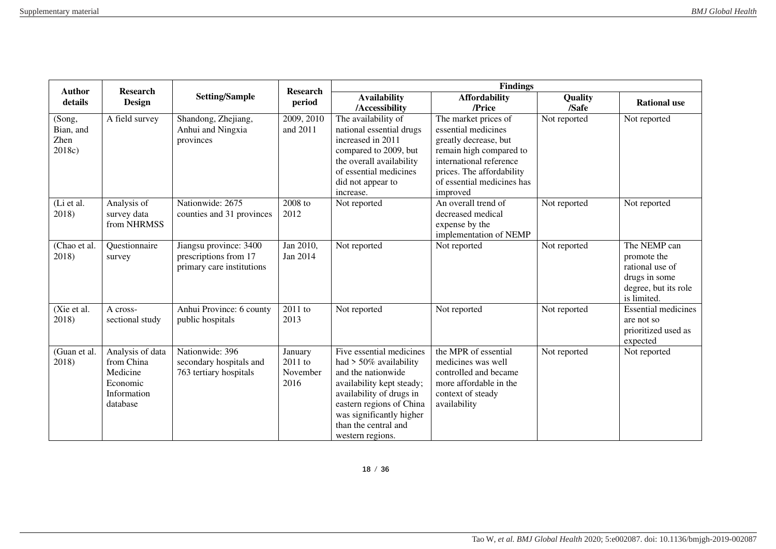| <b>Author</b><br><b>Research</b>      |                                                                                   | <b>Research</b>                                                              |                                        | <b>Findings</b>                                                                                                                                                                                                                          |                                                                                                                                                                                                   |                  |                                                                                                        |
|---------------------------------------|-----------------------------------------------------------------------------------|------------------------------------------------------------------------------|----------------------------------------|------------------------------------------------------------------------------------------------------------------------------------------------------------------------------------------------------------------------------------------|---------------------------------------------------------------------------------------------------------------------------------------------------------------------------------------------------|------------------|--------------------------------------------------------------------------------------------------------|
| details                               | <b>Design</b>                                                                     | <b>Setting/Sample</b>                                                        | period                                 | <b>Availability</b><br>/Accessibility                                                                                                                                                                                                    | <b>Affordability</b><br>/Price                                                                                                                                                                    | Quality<br>/Safe | <b>Rational use</b>                                                                                    |
| (Song,<br>Bian, and<br>Zhen<br>2018c) | A field survey                                                                    | Shandong, Zhejiang,<br>Anhui and Ningxia<br>provinces                        | 2009, 2010<br>and 2011                 | The availability of<br>national essential drugs<br>increased in 2011<br>compared to 2009, but<br>the overall availability<br>of essential medicines<br>did not appear to<br>increase.                                                    | The market prices of<br>essential medicines<br>greatly decrease, but<br>remain high compared to<br>international reference<br>prices. The affordability<br>of essential medicines has<br>improved | Not reported     | Not reported                                                                                           |
| (Li et al.<br>2018)                   | Analysis of<br>survey data<br>from NHRMSS                                         | Nationwide: 2675<br>counties and 31 provinces                                | 2008 to<br>2012                        | Not reported                                                                                                                                                                                                                             | An overall trend of<br>decreased medical<br>expense by the<br>implementation of NEMP                                                                                                              | Not reported     | Not reported                                                                                           |
| (Chao et al.<br>2018)                 | Questionnaire<br>survey                                                           | Jiangsu province: 3400<br>prescriptions from 17<br>primary care institutions | Jan 2010,<br>Jan 2014                  | Not reported                                                                                                                                                                                                                             | Not reported                                                                                                                                                                                      | Not reported     | The NEMP can<br>promote the<br>rational use of<br>drugs in some<br>degree, but its role<br>is limited. |
| (Xie et al.<br>2018)                  | A cross-<br>sectional study                                                       | Anhui Province: 6 county<br>public hospitals                                 | 2011 to<br>2013                        | Not reported                                                                                                                                                                                                                             | Not reported                                                                                                                                                                                      | Not reported     | <b>Essential medicines</b><br>are not so<br>prioritized used as<br>expected                            |
| (Guan et al.<br>2018)                 | Analysis of data<br>from China<br>Medicine<br>Economic<br>Information<br>database | Nationwide: 396<br>secondary hospitals and<br>763 tertiary hospitals         | January<br>2011 to<br>November<br>2016 | Five essential medicines<br>had $> 50\%$ availability<br>and the nationwide<br>availability kept steady;<br>availability of drugs in<br>eastern regions of China<br>was significantly higher<br>than the central and<br>western regions. | the MPR of essential<br>medicines was well<br>controlled and became<br>more affordable in the<br>context of steady<br>availability                                                                | Not reported     | Not reported                                                                                           |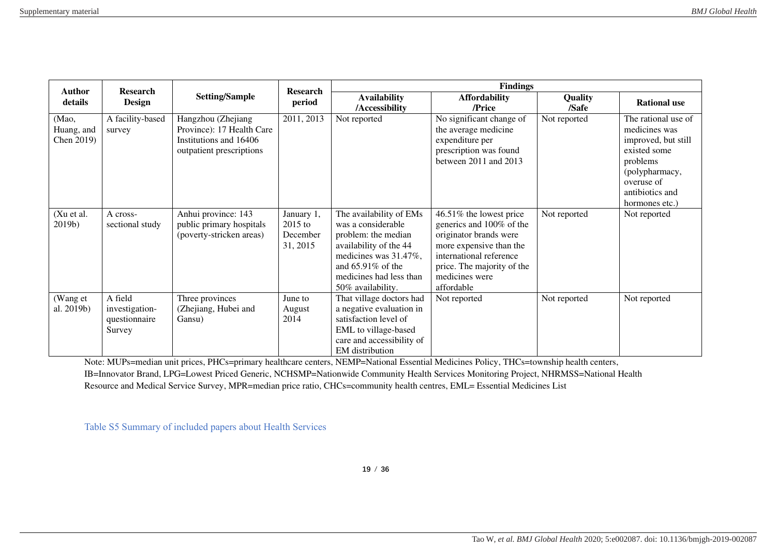| Author<br><b>Research</b>         |                                                      |                                                                                                       | Research                                      |                                                                                                                                                                                                 | <b>Findings</b>                                                                                                                                                                                   |                  |                                                                                                                                                              |
|-----------------------------------|------------------------------------------------------|-------------------------------------------------------------------------------------------------------|-----------------------------------------------|-------------------------------------------------------------------------------------------------------------------------------------------------------------------------------------------------|---------------------------------------------------------------------------------------------------------------------------------------------------------------------------------------------------|------------------|--------------------------------------------------------------------------------------------------------------------------------------------------------------|
| details                           | Design                                               | <b>Setting/Sample</b>                                                                                 | period                                        | <b>Availability</b><br>/Accessibility                                                                                                                                                           | <b>Affordability</b><br>/Price                                                                                                                                                                    | Quality<br>/Safe | <b>Rational use</b>                                                                                                                                          |
| (Mao,<br>Huang, and<br>Chen 2019) | A facility-based<br>survey                           | Hangzhou (Zhejiang<br>Province): 17 Health Care<br>Institutions and 16406<br>outpatient prescriptions | 2011, 2013                                    | Not reported                                                                                                                                                                                    | No significant change of<br>the average medicine<br>expenditure per<br>prescription was found<br>between 2011 and 2013                                                                            | Not reported     | The rational use of<br>medicines was<br>improved, but still<br>existed some<br>problems<br>(polypharmacy,<br>overuse of<br>antibiotics and<br>hormones etc.) |
| (Xu et al.<br>$2019b$ )           | A cross-<br>sectional study                          | Anhui province: 143<br>public primary hospitals<br>(poverty-stricken areas)                           | January 1,<br>2015 to<br>December<br>31, 2015 | The availability of EMs<br>was a considerable<br>problem: the median<br>availability of the 44<br>medicines was 31.47%,<br>and $65.91\%$ of the<br>medicines had less than<br>50% availability. | 46.51% the lowest price<br>generics and 100% of the<br>originator brands were<br>more expensive than the<br>international reference<br>price. The majority of the<br>medicines were<br>affordable | Not reported     | Not reported                                                                                                                                                 |
| (Wang et<br>al. 2019b)            | A field<br>investigation-<br>questionnaire<br>Survey | Three provinces<br>(Zhejiang, Hubei and<br>Gansu)                                                     | June to<br>August<br>2014                     | That village doctors had<br>a negative evaluation in<br>satisfaction level of<br>EML to village-based<br>care and accessibility of<br>EM distribution                                           | Not reported                                                                                                                                                                                      | Not reported     | Not reported                                                                                                                                                 |

Note: MUPs=median unit prices, PHCs=primary healthcare centers, NEMP=National Essential Medicines Policy, THCs=township health centers, IB=Innovator Brand, LPG=Lowest Priced Generic, NCHSMP=Nationwide Community Health Services Monitoring Project, NHRMSS=National Health Resource and Medical Service Survey, MPR=median price ratio, CHCs=community health centres, EML= Essential Medicines List

Table S5 Summary of included papers about Health Services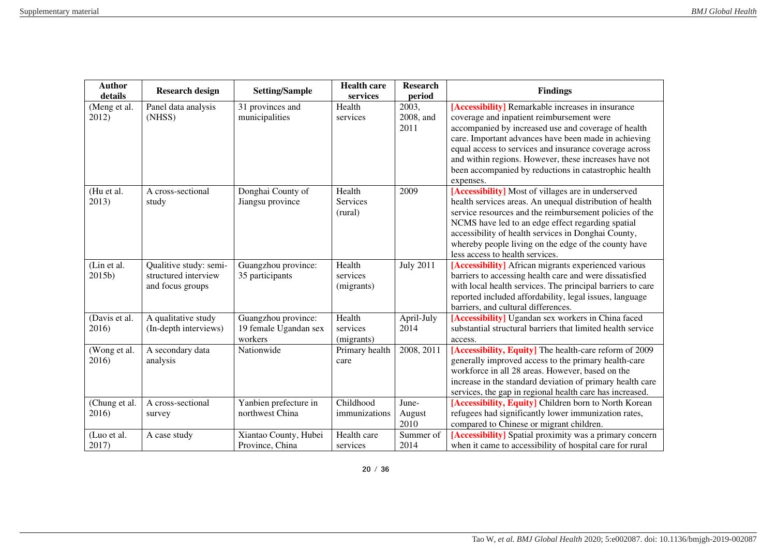| <b>Author</b> | <b>Research design</b> | <b>Setting/Sample</b> | <b>Health care</b> | <b>Research</b>  | <b>Findings</b>                                             |
|---------------|------------------------|-----------------------|--------------------|------------------|-------------------------------------------------------------|
| details       |                        |                       | services           | period           |                                                             |
| (Meng et al.  | Panel data analysis    | 31 provinces and      | Health             | 2003,            | [Accessibility] Remarkable increases in insurance           |
| 2012)         | (NHSS)                 | municipalities        | services           | 2008, and        | coverage and inpatient reimbursement were                   |
|               |                        |                       |                    | 2011             | accompanied by increased use and coverage of health         |
|               |                        |                       |                    |                  | care. Important advances have been made in achieving        |
|               |                        |                       |                    |                  | equal access to services and insurance coverage across      |
|               |                        |                       |                    |                  | and within regions. However, these increases have not       |
|               |                        |                       |                    |                  | been accompanied by reductions in catastrophic health       |
|               |                        |                       |                    |                  | expenses.                                                   |
| (Hu et al.    | A cross-sectional      | Donghai County of     | Health             | 2009             | [Accessibility] Most of villages are in underserved         |
| 2013)         | study                  | Jiangsu province      | Services           |                  | health services areas. An unequal distribution of health    |
|               |                        |                       | (rural)            |                  | service resources and the reimbursement policies of the     |
|               |                        |                       |                    |                  | NCMS have led to an edge effect regarding spatial           |
|               |                        |                       |                    |                  | accessibility of health services in Donghai County,         |
|               |                        |                       |                    |                  | whereby people living on the edge of the county have        |
|               |                        |                       |                    |                  | less access to health services.                             |
| (Lin et al.   | Qualitive study: semi- | Guangzhou province:   | Health             | <b>July 2011</b> | [Accessibility] African migrants experienced various        |
| 2015b)        | structured interview   | 35 participants       | services           |                  | barriers to accessing health care and were dissatisfied     |
|               | and focus groups       |                       | (migrants)         |                  | with local health services. The principal barriers to care  |
|               |                        |                       |                    |                  | reported included affordability, legal issues, language     |
|               |                        |                       |                    |                  | barriers, and cultural differences.                         |
| (Davis et al. | A qualitative study    | Guangzhou province:   | Health             | April-July       | [Accessibility] Ugandan sex workers in China faced          |
| 2016)         | (In-depth interviews)  | 19 female Ugandan sex | services           | 2014             | substantial structural barriers that limited health service |
|               |                        | workers               | (migrants)         |                  | access.                                                     |
| (Wong et al.  | A secondary data       | Nationwide            | Primary health     | 2008, 2011       | [Accessibility, Equity] The health-care reform of 2009      |
| 2016)         | analysis               |                       | care               |                  | generally improved access to the primary health-care        |
|               |                        |                       |                    |                  | workforce in all 28 areas. However, based on the            |
|               |                        |                       |                    |                  | increase in the standard deviation of primary health care   |
|               |                        |                       |                    |                  | services, the gap in regional health care has increased.    |
| (Chung et al. | A cross-sectional      | Yanbien prefecture in | Childhood          | June-            | [Accessibility, Equity] Children born to North Korean       |
| 2016)         | survey                 | northwest China       | immunizations      | August           | refugees had significantly lower immunization rates,        |
|               |                        |                       |                    | 2010             | compared to Chinese or migrant children.                    |
| (Luo et al.   | A case study           | Xiantao County, Hubei | Health care        | Summer of        | [Accessibility] Spatial proximity was a primary concern     |
| 2017)         |                        | Province, China       | services           | 2014             | when it came to accessibility of hospital care for rural    |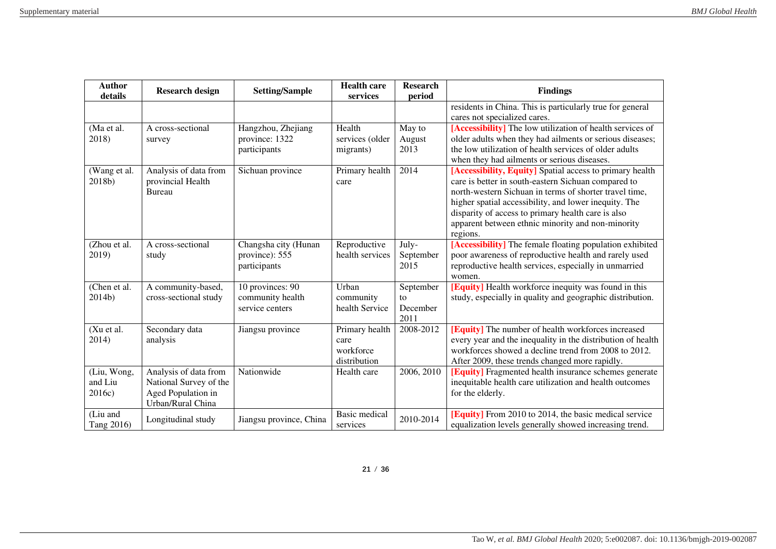| <b>Author</b><br>details         | <b>Research design</b>                                                                     | <b>Setting/Sample</b>                                   | <b>Health care</b><br>services                      | <b>Research</b><br>period           | <b>Findings</b>                                                                                                                                                                                                                                                                                                                                           |
|----------------------------------|--------------------------------------------------------------------------------------------|---------------------------------------------------------|-----------------------------------------------------|-------------------------------------|-----------------------------------------------------------------------------------------------------------------------------------------------------------------------------------------------------------------------------------------------------------------------------------------------------------------------------------------------------------|
|                                  |                                                                                            |                                                         |                                                     |                                     | residents in China. This is particularly true for general<br>cares not specialized cares.                                                                                                                                                                                                                                                                 |
| (Ma et al.<br>2018)              | A cross-sectional<br>survey                                                                | Hangzhou, Zhejiang<br>province: 1322<br>participants    | Health<br>services (older<br>migrants)              | May to<br>August<br>2013            | [Accessibility] The low utilization of health services of<br>older adults when they had ailments or serious diseases;<br>the low utilization of health services of older adults<br>when they had ailments or serious diseases.                                                                                                                            |
| (Wang et al.<br>2018b)           | Analysis of data from<br>provincial Health<br><b>Bureau</b>                                | Sichuan province                                        | Primary health<br>care                              | 2014                                | [Accessibility, Equity] Spatial access to primary health<br>care is better in south-eastern Sichuan compared to<br>north-western Sichuan in terms of shorter travel time,<br>higher spatial accessibility, and lower inequity. The<br>disparity of access to primary health care is also<br>apparent between ethnic minority and non-minority<br>regions. |
| (Zhou et al.<br>2019)            | A cross-sectional<br>study                                                                 | Changsha city (Hunan<br>province): 555<br>participants  | Reproductive<br>health services                     | July-<br>September<br>2015          | [Accessibility] The female floating population exhibited<br>poor awareness of reproductive health and rarely used<br>reproductive health services, especially in unmarried<br>women.                                                                                                                                                                      |
| (Chen et al.<br>2014b)           | A community-based,<br>cross-sectional study                                                | 10 provinces: 90<br>community health<br>service centers | Urban<br>community<br>health Service                | September<br>to<br>December<br>2011 | [Equity] Health workforce inequity was found in this<br>study, especially in quality and geographic distribution.                                                                                                                                                                                                                                         |
| (Xu et al.<br>2014)              | Secondary data<br>analysis                                                                 | Jiangsu province                                        | Primary health<br>care<br>workforce<br>distribution | 2008-2012                           | [Equity] The number of health workforces increased<br>every year and the inequality in the distribution of health<br>workforces showed a decline trend from 2008 to 2012.<br>After 2009, these trends changed more rapidly.                                                                                                                               |
| (Liu, Wong,<br>and Liu<br>2016c) | Analysis of data from<br>National Survey of the<br>Aged Population in<br>Urban/Rural China | Nationwide                                              | Health care                                         | 2006, 2010                          | [Equity] Fragmented health insurance schemes generate<br>inequitable health care utilization and health outcomes<br>for the elderly.                                                                                                                                                                                                                      |
| (Liu and<br>Tang 2016)           | Longitudinal study                                                                         | Jiangsu province, China                                 | <b>Basic</b> medical<br>services                    | 2010-2014                           | [Equity] From 2010 to 2014, the basic medical service<br>equalization levels generally showed increasing trend.                                                                                                                                                                                                                                           |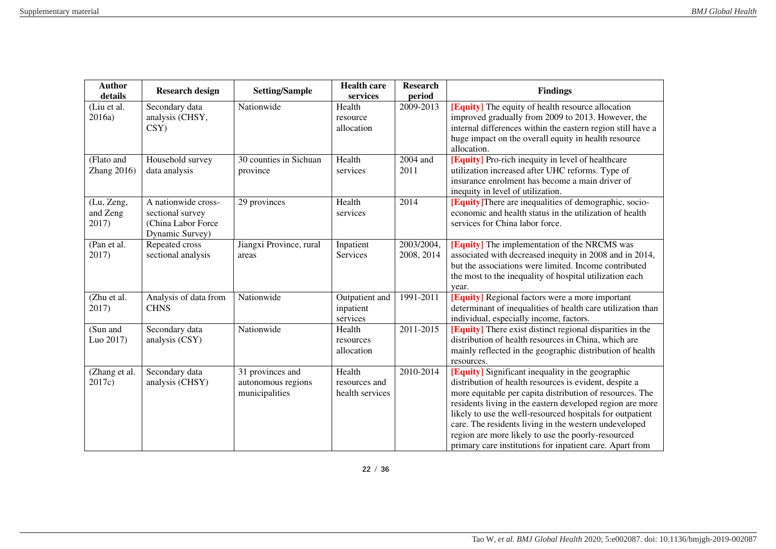| <b>Author</b><br>details        | <b>Research design</b>                                                           | <b>Setting/Sample</b>                                    | <b>Health care</b><br>services             | <b>Research</b><br>period | <b>Findings</b>                                                                                                                                                                                                                                                                                                                                                                                                                                                              |
|---------------------------------|----------------------------------------------------------------------------------|----------------------------------------------------------|--------------------------------------------|---------------------------|------------------------------------------------------------------------------------------------------------------------------------------------------------------------------------------------------------------------------------------------------------------------------------------------------------------------------------------------------------------------------------------------------------------------------------------------------------------------------|
| (Liu et al.<br>2016a)           | Secondary data<br>analysis (CHSY,<br>CSY)                                        | Nationwide                                               | Health<br>resource<br>allocation           | 2009-2013                 | <b>[Equity]</b> The equity of health resource allocation<br>improved gradually from 2009 to 2013. However, the<br>internal differences within the eastern region still have a<br>huge impact on the overall equity in health resource<br>allocation.                                                                                                                                                                                                                         |
| (Flato and<br>Zhang $2016$ )    | Household survey<br>data analysis                                                | 30 counties in Sichuan<br>province                       | Health<br>services                         | 2004 and<br>2011          | [Equity] Pro-rich inequity in level of healthcare<br>utilization increased after UHC reforms. Type of<br>insurance enrolment has become a main driver of<br>inequity in level of utilization.                                                                                                                                                                                                                                                                                |
| (Lu, Zeng,<br>and Zeng<br>2017) | A nationwide cross-<br>sectional survey<br>(China Labor Force<br>Dynamic Survey) | 29 provinces                                             | Health<br>services                         | 2014                      | <b>[Equity]</b> There are inequalities of demographic, socio-<br>economic and health status in the utilization of health<br>services for China labor force.                                                                                                                                                                                                                                                                                                                  |
| (Pan et al.<br>2017)            | Repeated cross<br>sectional analysis                                             | Jiangxi Province, rural<br>areas                         | Inpatient<br>Services                      | 2003/2004,<br>2008, 2014  | [Equity] The implementation of the NRCMS was<br>associated with decreased inequity in 2008 and in 2014,<br>but the associations were limited. Income contributed<br>the most to the inequality of hospital utilization each<br>year.                                                                                                                                                                                                                                         |
| (Zhu et al.<br>2017)            | Analysis of data from<br><b>CHNS</b>                                             | Nationwide                                               | Outpatient and<br>inpatient<br>services    | 1991-2011                 | [Equity] Regional factors were a more important<br>determinant of inequalities of health care utilization than<br>individual, especially income, factors.                                                                                                                                                                                                                                                                                                                    |
| (Sun and<br>Luo 2017)           | Secondary data<br>analysis (CSY)                                                 | Nationwide                                               | Health<br>resources<br>allocation          | 2011-2015                 | <b>[Equity]</b> There exist distinct regional disparities in the<br>distribution of health resources in China, which are<br>mainly reflected in the geographic distribution of health<br>resources.                                                                                                                                                                                                                                                                          |
| (Zhang et al.<br>2017c)         | Secondary data<br>analysis (CHSY)                                                | 31 provinces and<br>autonomous regions<br>municipalities | Health<br>resources and<br>health services | 2010-2014                 | [Equity] Significant inequality in the geographic<br>distribution of health resources is evident, despite a<br>more equitable per capita distribution of resources. The<br>residents living in the eastern developed region are more<br>likely to use the well-resourced hospitals for outpatient<br>care. The residents living in the western undeveloped<br>region are more likely to use the poorly-resourced<br>primary care institutions for inpatient care. Apart from |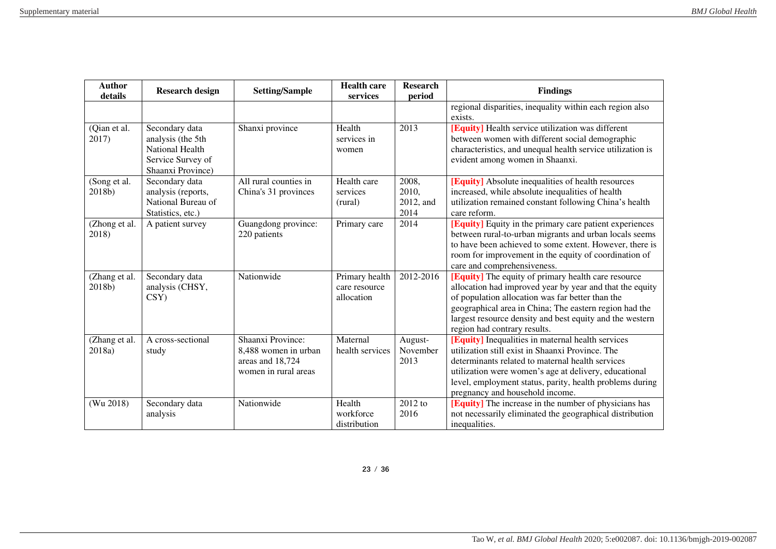| <b>Author</b><br>details | <b>Research design</b>                                                                           | <b>Setting/Sample</b>                                                                 | <b>Health care</b><br>services                | <b>Research</b><br>period           | <b>Findings</b>                                                                                                                                                                                                                                                                                                           |
|--------------------------|--------------------------------------------------------------------------------------------------|---------------------------------------------------------------------------------------|-----------------------------------------------|-------------------------------------|---------------------------------------------------------------------------------------------------------------------------------------------------------------------------------------------------------------------------------------------------------------------------------------------------------------------------|
|                          |                                                                                                  |                                                                                       |                                               |                                     | regional disparities, inequality within each region also<br>exists.                                                                                                                                                                                                                                                       |
| (Qian et al.<br>2017)    | Secondary data<br>analysis (the 5th<br>National Health<br>Service Survey of<br>Shaanxi Province) | Shanxi province                                                                       | Health<br>services in<br>women                | 2013                                | [Equity] Health service utilization was different<br>between women with different social demographic<br>characteristics, and unequal health service utilization is<br>evident among women in Shaanxi.                                                                                                                     |
| (Song et al.<br>2018b)   | Secondary data<br>analysis (reports,<br>National Bureau of<br>Statistics, etc.)                  | All rural counties in<br>China's 31 provinces                                         | Health care<br>services<br>(rural)            | 2008,<br>2010,<br>2012, and<br>2014 | [Equity] Absolute inequalities of health resources<br>increased, while absolute inequalities of health<br>utilization remained constant following China's health<br>care reform.                                                                                                                                          |
| (Zhong et al.<br>2018)   | A patient survey                                                                                 | Guangdong province:<br>220 patients                                                   | Primary care                                  | 2014                                | [Equity] Equity in the primary care patient experiences<br>between rural-to-urban migrants and urban locals seems<br>to have been achieved to some extent. However, there is<br>room for improvement in the equity of coordination of<br>care and comprehensiveness.                                                      |
| (Zhang et al.<br>2018b)  | Secondary data<br>analysis (CHSY,<br>CSY)                                                        | Nationwide                                                                            | Primary health<br>care resource<br>allocation | 2012-2016                           | [Equity] The equity of primary health care resource<br>allocation had improved year by year and that the equity<br>of population allocation was far better than the<br>geographical area in China; The eastern region had the<br>largest resource density and best equity and the western<br>region had contrary results. |
| (Zhang et al.<br>2018a)  | A cross-sectional<br>study                                                                       | Shaanxi Province:<br>8,488 women in urban<br>areas and 18,724<br>women in rural areas | Maternal<br>health services                   | August-<br>November<br>2013         | [Equity] Inequalities in maternal health services<br>utilization still exist in Shaanxi Province. The<br>determinants related to maternal health services<br>utilization were women's age at delivery, educational<br>level, employment status, parity, health problems during<br>pregnancy and household income.         |
| (Wu 2018)                | Secondary data<br>analysis                                                                       | Nationwide                                                                            | Health<br>workforce<br>distribution           | $\overline{2012}$ to<br>2016        | [Equity] The increase in the number of physicians has<br>not necessarily eliminated the geographical distribution<br>inequalities.                                                                                                                                                                                        |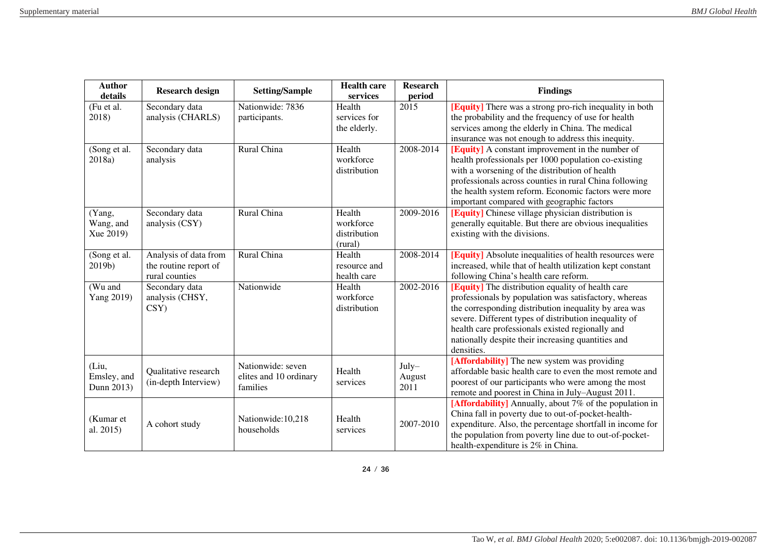| <b>Author</b><br>details | <b>Research design</b>                       | <b>Setting/Sample</b>  | <b>Health care</b><br>services | <b>Research</b><br>period | <b>Findings</b>                                                                                               |
|--------------------------|----------------------------------------------|------------------------|--------------------------------|---------------------------|---------------------------------------------------------------------------------------------------------------|
| (Fu et al.               | Secondary data                               | Nationwide: 7836       | Health                         | 2015                      | <b>[Equity]</b> There was a strong pro-rich inequality in both                                                |
| 2018)                    | analysis (CHARLS)                            | participants.          | services for                   |                           | the probability and the frequency of use for health                                                           |
|                          |                                              |                        | the elderly.                   |                           | services among the elderly in China. The medical                                                              |
|                          |                                              |                        |                                |                           | insurance was not enough to address this inequity.                                                            |
| (Song et al.             | Secondary data                               | Rural China            | Health                         | 2008-2014                 | <b>[Equity]</b> A constant improvement in the number of                                                       |
| 2018a)                   | analysis                                     |                        | workforce                      |                           | health professionals per 1000 population co-existing                                                          |
|                          |                                              |                        | distribution                   |                           | with a worsening of the distribution of health                                                                |
|                          |                                              |                        |                                |                           | professionals across counties in rural China following                                                        |
|                          |                                              |                        |                                |                           | the health system reform. Economic factors were more                                                          |
|                          |                                              |                        |                                |                           | important compared with geographic factors                                                                    |
| (Yang,                   | Secondary data                               | Rural China            | Health                         | 2009-2016                 | [Equity] Chinese village physician distribution is                                                            |
| Wang, and                | analysis (CSY)                               |                        | workforce                      |                           | generally equitable. But there are obvious inequalities                                                       |
| Xue 2019)                |                                              |                        | distribution                   |                           | existing with the divisions.                                                                                  |
|                          |                                              |                        | (rural)                        |                           |                                                                                                               |
| (Song et al.             | Analysis of data from                        | Rural China            | Health                         | 2008-2014                 | <b>[Equity]</b> Absolute inequalities of health resources were                                                |
| 2019b)                   | the routine report of                        |                        | resource and                   |                           | increased, while that of health utilization kept constant                                                     |
|                          | rural counties                               |                        | health care                    |                           | following China's health care reform.                                                                         |
| (Wu and                  | Secondary data                               | Nationwide             | Health                         | 2002-2016                 | [Equity] The distribution equality of health care                                                             |
| Yang 2019)               | analysis (CHSY,                              |                        | workforce                      |                           | professionals by population was satisfactory, whereas                                                         |
|                          | $\text{CSY}$                                 |                        | distribution                   |                           | the corresponding distribution inequality by area was                                                         |
|                          |                                              |                        |                                |                           | severe. Different types of distribution inequality of                                                         |
|                          |                                              |                        |                                |                           | health care professionals existed regionally and                                                              |
|                          |                                              |                        |                                |                           | nationally despite their increasing quantities and                                                            |
|                          |                                              |                        |                                |                           | densities.                                                                                                    |
| (Liu,                    |                                              | Nationwide: seven      | Health                         | July-                     | [Affordability] The new system was providing<br>affordable basic health care to even the most remote and      |
| Emsley, and              | Qualitative research<br>(in-depth Interview) | elites and 10 ordinary |                                | August                    |                                                                                                               |
| Dunn 2013)               |                                              | families               | services                       | 2011                      | poorest of our participants who were among the most                                                           |
|                          |                                              |                        |                                |                           | remote and poorest in China in July-August 2011.                                                              |
|                          |                                              |                        |                                |                           | [Affordability] Annually, about 7% of the population in<br>China fall in poverty due to out-of-pocket-health- |
| (Kumar et                |                                              | Nationwide:10,218      | Health                         | 2007-2010                 | expenditure. Also, the percentage shortfall in income for                                                     |
| al. 2015)                | A cohort study                               | households             | services                       |                           | the population from poverty line due to out-of-pocket-                                                        |
|                          |                                              |                        |                                |                           |                                                                                                               |
|                          |                                              |                        |                                |                           | health-expenditure is 2% in China.                                                                            |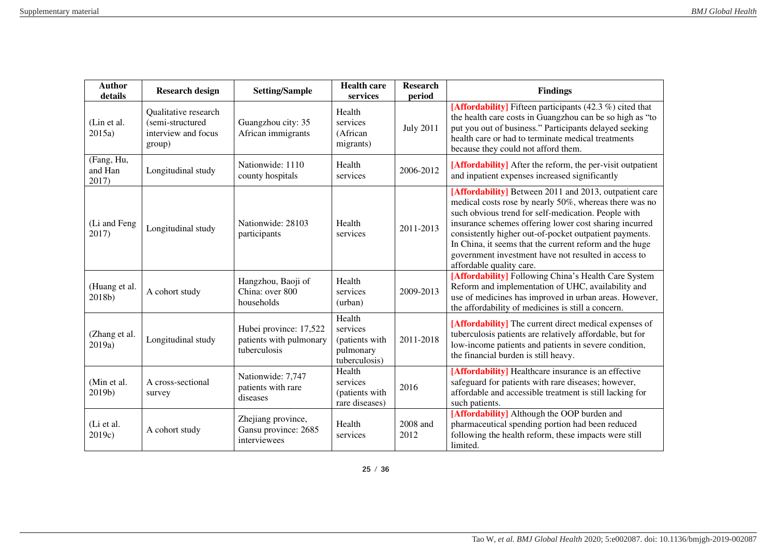| <b>Author</b><br>details       | <b>Research design</b>                                                    | <b>Setting/Sample</b>                                             | <b>Health care</b><br>services                                     | <b>Research</b><br>period | <b>Findings</b>                                                                                                                                                                                                                                                                                                                                                                                                                            |
|--------------------------------|---------------------------------------------------------------------------|-------------------------------------------------------------------|--------------------------------------------------------------------|---------------------------|--------------------------------------------------------------------------------------------------------------------------------------------------------------------------------------------------------------------------------------------------------------------------------------------------------------------------------------------------------------------------------------------------------------------------------------------|
| (Lin et al.<br>2015a)          | Qualitative research<br>(semi-structured<br>interview and focus<br>group) | Guangzhou city: 35<br>African immigrants                          | Health<br>services<br>(African<br>migrants)                        | <b>July 2011</b>          | [Affordability] Fifteen participants $(42.3\%)$ cited that<br>the health care costs in Guangzhou can be so high as "to<br>put you out of business." Participants delayed seeking<br>health care or had to terminate medical treatments<br>because they could not afford them.                                                                                                                                                              |
| (Fang, Hu,<br>and Han<br>2017) | Longitudinal study                                                        | Nationwide: 1110<br>county hospitals                              | Health<br>services                                                 | 2006-2012                 | [Affordability] After the reform, the per-visit outpatient<br>and inpatient expenses increased significantly                                                                                                                                                                                                                                                                                                                               |
| (Li and Feng<br>2017)          | Longitudinal study                                                        | Nationwide: 28103<br>participants                                 | Health<br>services                                                 | 2011-2013                 | [Affordability] Between 2011 and 2013, outpatient care<br>medical costs rose by nearly 50%, whereas there was no<br>such obvious trend for self-medication. People with<br>insurance schemes offering lower cost sharing incurred<br>consistently higher out-of-pocket outpatient payments.<br>In China, it seems that the current reform and the huge<br>government investment have not resulted in access to<br>affordable quality care. |
| (Huang et al.<br>2018b)        | A cohort study                                                            | Hangzhou, Baoji of<br>China: over 800<br>households               | Health<br>services<br>(urban)                                      | 2009-2013                 | [Affordability] Following China's Health Care System<br>Reform and implementation of UHC, availability and<br>use of medicines has improved in urban areas. However,<br>the affordability of medicines is still a concern.                                                                                                                                                                                                                 |
| (Zhang et al.<br>2019a)        | Longitudinal study                                                        | Hubei province: 17,522<br>patients with pulmonary<br>tuberculosis | Health<br>services<br>(patients with<br>pulmonary<br>tuberculosis) | 2011-2018                 | [Affordability] The current direct medical expenses of<br>tuberculosis patients are relatively affordable, but for<br>low-income patients and patients in severe condition,<br>the financial burden is still heavy.                                                                                                                                                                                                                        |
| (Min et al.<br>2019b)          | A cross-sectional<br>survey                                               | Nationwide: 7,747<br>patients with rare<br>diseases               | Health<br>services<br>(patients with<br>rare diseases)             | 2016                      | [Affordability] Healthcare insurance is an effective<br>safeguard for patients with rare diseases; however,<br>affordable and accessible treatment is still lacking for<br>such patients.                                                                                                                                                                                                                                                  |
| (Li et al.<br>2019c)           | A cohort study                                                            | Zhejiang province,<br>Gansu province: 2685<br>interviewees        | Health<br>services                                                 | 2008 and<br>2012          | [Affordability] Although the OOP burden and<br>pharmaceutical spending portion had been reduced<br>following the health reform, these impacts were still<br>limited.                                                                                                                                                                                                                                                                       |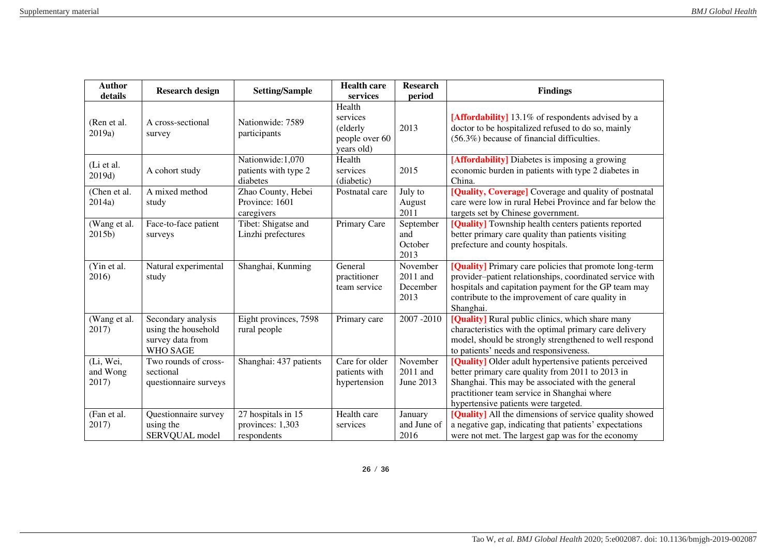| <b>Author</b><br>details       | <b>Research design</b>                                                    | <b>Setting/Sample</b>                                 | <b>Health care</b><br>services                       | <b>Research</b><br>period                | <b>Findings</b>                                                                                                                                                                                                                                       |
|--------------------------------|---------------------------------------------------------------------------|-------------------------------------------------------|------------------------------------------------------|------------------------------------------|-------------------------------------------------------------------------------------------------------------------------------------------------------------------------------------------------------------------------------------------------------|
|                                |                                                                           |                                                       | Health                                               |                                          |                                                                                                                                                                                                                                                       |
| (Ren et al.<br>2019a)          | A cross-sectional<br>survey                                               | Nationwide: 7589<br>participants                      | services<br>(elderly<br>people over 60<br>years old) | 2013                                     | [Affordability] 13.1% of respondents advised by a<br>doctor to be hospitalized refused to do so, mainly<br>$(56.3\%)$ because of financial difficulties.                                                                                              |
| (Li et al.<br>2019d)           | A cohort study                                                            | Nationwide:1,070<br>patients with type 2<br>diabetes  | Health<br>services<br>(diabetic)                     | 2015                                     | [Affordability] Diabetes is imposing a growing<br>economic burden in patients with type 2 diabetes in<br>China.                                                                                                                                       |
| (Chen et al.<br>2014a)         | A mixed method<br>study                                                   | Zhao County, Hebei<br>Province: 1601<br>caregivers    | Postnatal care                                       | July to<br>August<br>2011                | [Quality, Coverage] Coverage and quality of postnatal<br>care were low in rural Hebei Province and far below the<br>targets set by Chinese government.                                                                                                |
| (Wang et al.<br>2015b)         | Face-to-face patient<br>surveys                                           | Tibet: Shigatse and<br>Linzhi prefectures             | Primary Care                                         | September<br>and<br>October<br>2013      | [Quality] Township health centers patients reported<br>better primary care quality than patients visiting<br>prefecture and county hospitals.                                                                                                         |
| (Yin et al.<br>2016)           | Natural experimental<br>study                                             | Shanghai, Kunming                                     | General<br>practitioner<br>team service              | November<br>2011 and<br>December<br>2013 | [Quality] Primary care policies that promote long-term<br>provider-patient relationships, coordinated service with<br>hospitals and capitation payment for the GP team may<br>contribute to the improvement of care quality in<br>Shanghai.           |
| (Wang et al.<br>2017)          | Secondary analysis<br>using the household<br>survey data from<br>WHO SAGE | Eight provinces, 7598<br>rural people                 | Primary care                                         | 2007-2010                                | [Quality] Rural public clinics, which share many<br>characteristics with the optimal primary care delivery<br>model, should be strongly strengthened to well respond<br>to patients' needs and responsiveness.                                        |
| (Li, Wei,<br>and Wong<br>2017) | Two rounds of cross-<br>sectional<br>questionnaire surveys                | Shanghai: 437 patients                                | Care for older<br>patients with<br>hypertension      | November<br>2011 and<br>June 2013        | [Quality] Older adult hypertensive patients perceived<br>better primary care quality from 2011 to 2013 in<br>Shanghai. This may be associated with the general<br>practitioner team service in Shanghai where<br>hypertensive patients were targeted. |
| (Fan et al.<br>2017)           | Questionnaire survey<br>using the<br>SERVQUAL model                       | 27 hospitals in 15<br>provinces: 1,303<br>respondents | Health care<br>services                              | January<br>and June of<br>2016           | [Quality] All the dimensions of service quality showed<br>a negative gap, indicating that patients' expectations<br>were not met. The largest gap was for the economy                                                                                 |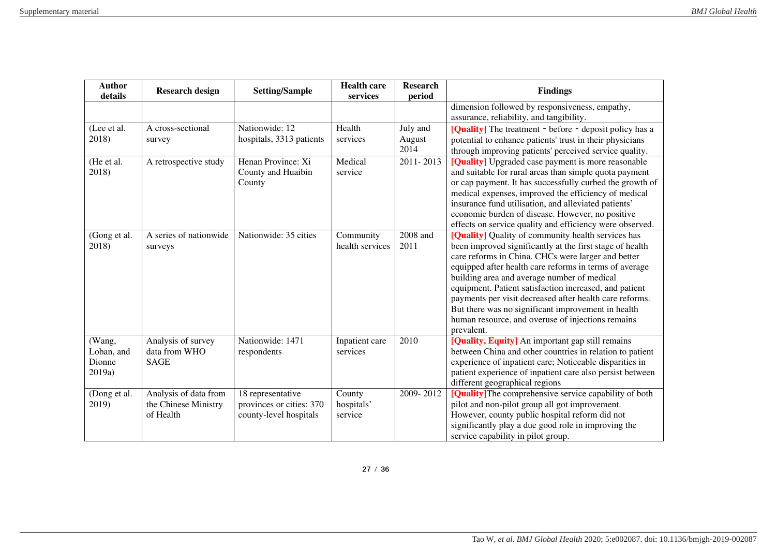| <b>Author</b><br>details | <b>Research design</b> | <b>Setting/Sample</b>    | <b>Health care</b><br>services | <b>Research</b><br>period | <b>Findings</b>                                                                                       |
|--------------------------|------------------------|--------------------------|--------------------------------|---------------------------|-------------------------------------------------------------------------------------------------------|
|                          |                        |                          |                                |                           | dimension followed by responsiveness, empathy,                                                        |
|                          |                        |                          |                                |                           | assurance, reliability, and tangibility.                                                              |
| (Lee et al.              | A cross-sectional      | Nationwide: 12           | Health                         | July and                  | [Quality] The treatment - before - deposit policy has a                                               |
| 2018)                    | survey                 | hospitals, 3313 patients | services                       | August                    | potential to enhance patients' trust in their physicians                                              |
|                          |                        |                          |                                | 2014                      | through improving patients' perceived service quality.                                                |
| (He et al.               | A retrospective study  | Henan Province: Xi       | Medical                        | $2011 - 2013$             | [Quality] Upgraded case payment is more reasonable                                                    |
| 2018)                    |                        | County and Huaibin       | service                        |                           | and suitable for rural areas than simple quota payment                                                |
|                          |                        | County                   |                                |                           | or cap payment. It has successfully curbed the growth of                                              |
|                          |                        |                          |                                |                           | medical expenses, improved the efficiency of medical                                                  |
|                          |                        |                          |                                |                           | insurance fund utilisation, and alleviated patients'                                                  |
|                          |                        |                          |                                |                           | economic burden of disease. However, no positive                                                      |
|                          |                        |                          |                                |                           | effects on service quality and efficiency were observed.                                              |
| (Gong et al.             | A series of nationwide | Nationwide: 35 cities    | Community                      | 2008 and                  | [Quality] Quality of community health services has                                                    |
| 2018)                    | surveys                |                          | health services                | 2011                      | been improved significantly at the first stage of health                                              |
|                          |                        |                          |                                |                           | care reforms in China. CHCs were larger and better                                                    |
|                          |                        |                          |                                |                           | equipped after health care reforms in terms of average                                                |
|                          |                        |                          |                                |                           | building area and average number of medical<br>equipment. Patient satisfaction increased, and patient |
|                          |                        |                          |                                |                           | payments per visit decreased after health care reforms.                                               |
|                          |                        |                          |                                |                           | But there was no significant improvement in health                                                    |
|                          |                        |                          |                                |                           | human resource, and overuse of injections remains                                                     |
|                          |                        |                          |                                |                           | prevalent.                                                                                            |
| (Wang,                   | Analysis of survey     | Nationwide: 1471         | Inpatient care                 | 2010                      | [Quality, Equity] An important gap still remains                                                      |
| Loban, and               | data from WHO          | respondents              | services                       |                           | between China and other countries in relation to patient                                              |
| Dionne                   | <b>SAGE</b>            |                          |                                |                           | experience of inpatient care; Noticeable disparities in                                               |
| 2019a)                   |                        |                          |                                |                           | patient experience of inpatient care also persist between                                             |
|                          |                        |                          |                                |                           | different geographical regions                                                                        |
| (Dong et al.             | Analysis of data from  | 18 representative        | County                         | 2009-2012                 | [Quality] The comprehensive service capability of both                                                |
| 2019)                    | the Chinese Ministry   | provinces or cities: 370 | hospitals'                     |                           | pilot and non-pilot group all got improvement.                                                        |
|                          | of Health              | county-level hospitals   | service                        |                           | However, county public hospital reform did not                                                        |
|                          |                        |                          |                                |                           | significantly play a due good role in improving the                                                   |
|                          |                        |                          |                                |                           | service capability in pilot group.                                                                    |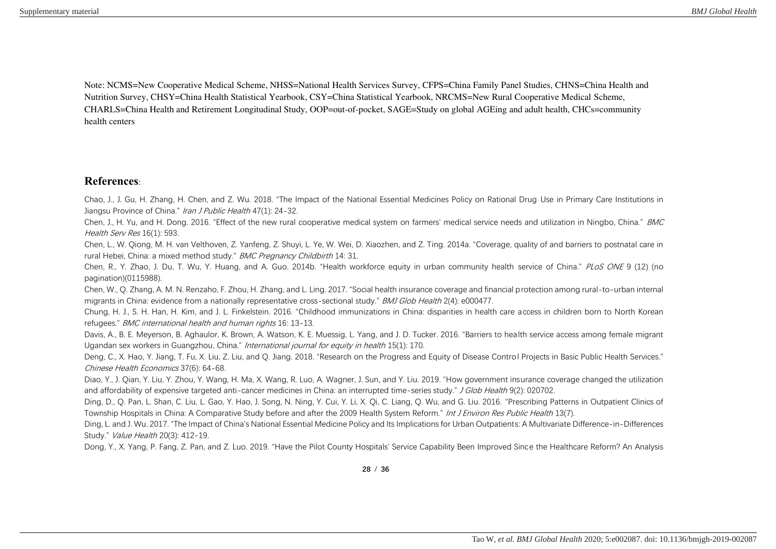Note: NCMS=New Cooperative Medical Scheme, NHSS=National Health Services Survey, CFPS=China Family Panel Studies, CHNS=China Health and Nutrition Survey, CHSY=China Health Statistical Yearbook, CSY=China Statistical Yearbook, NRCMS=New Rural Cooperative Medical Scheme, CHARLS=China Health and Retirement Longitudinal Study, OOP=out-of-pocket, SAGE=Study on global AGEing and adult health, CHCs=community health centers

## **References**:

Chao, J., J. Gu, H. Zhang, H. Chen, and Z. Wu. 2018. "The Impact of the National Essential Medicines Policy on Rational Drug Use in Primary Care Institutions in Jiangsu Province of China." Iran J Public Health 47(1): 24-32.

Chen, J., H. Yu, and H. Dong. 2016. "Effect of the new rural cooperative medical system on farmers' medical service needs and utilization in Ningbo, China." BMC Health Serv Res 16(1): 593.

Chen, L., W. Qiong, M. H. van Velthoven, Z. Yanfeng, Z. Shuyi, L. Ye, W. Wei, D. Xiaozhen, and Z. Ting. 2014a. "Coverage, quality of and barriers to postnatal care in rural Hebei, China: a mixed method study." BMC Pregnancy Childbirth 14: 31.

Chen, R., Y. Zhao, J. Du, T. Wu, Y. Huang, and A. Guo. 2014b. "Health workforce equity in urban community health service of China." PLoS ONE 9 (12) (no pagination)(0115988).

Chen, W., Q. Zhang, A. M. N. Renzaho, F. Zhou, H. Zhang, and L. Ling. 2017. "Social health insurance coverage and financial protection among rural-to-urban internal migrants in China: evidence from a nationally representative cross-sectional study." BMJ Glob Health 2(4): e000477.

Chung, H. J., S. H. Han, H. Kim, and J. L. Finkelstein. 2016. "Childhood immunizations in China: disparities in health care access in children born to North Korean refugees." BMC international health and human rights 16: 13-13.

Davis, A., B. E. Meyerson, B. Aghaulor, K. Brown, A. Watson, K. E. Muessig, L. Yang, and J. D. Tucker. 2016. "Barriers to health service access among female migrant Ugandan sex workers in Guangzhou, China." International journal for equity in health 15(1): 170.

Deng, C., X. Hao, Y. Jiang, T. Fu, X. Liu, Z. Liu, and Q. Jiang. 2018. "Research on the Progress and Equity of Disease Control Projects in Basic Public Health Services." Chinese Health Economics 37(6): 64-68.

Diao, Y., J. Qian, Y. Liu, Y. Zhou, Y. Wang, H. Ma, X. Wang, R. Luo, A. Wagner, J. Sun, and Y. Liu. 2019. "How government insurance coverage changed the utilization and affordability of expensive targeted anti-cancer medicines in China: an interrupted time-series study." J Glob Health 9(2): 020702.

Ding, D., Q. Pan, L. Shan, C. Liu, L. Gao, Y. Hao, J. Song, N. Ning, Y. Cui, Y. Li, X. Qi, C. Liang, Q. Wu, and G. Liu. 2016. "Prescribing Patterns in Outpatient Clinics of Township Hospitals in China: A Comparative Study before and after the 2009 Health System Reform." Int J Environ Res Public Health 13(7).

Ding, L. and J. Wu. 2017. "The Impact of China's National Essential Medicine Policy and Its Implications for Urban Outpatients: A Multivariate Difference-in-Differences Study." *Value Health* 20(3): 412-19.

Dong, Y., X. Yang, P. Fang, Z. Pan, and Z. Luo. 2019. "Have the Pilot County Hospitals' Service Capability Been Improved Since the Healthcare Reform? An Analysis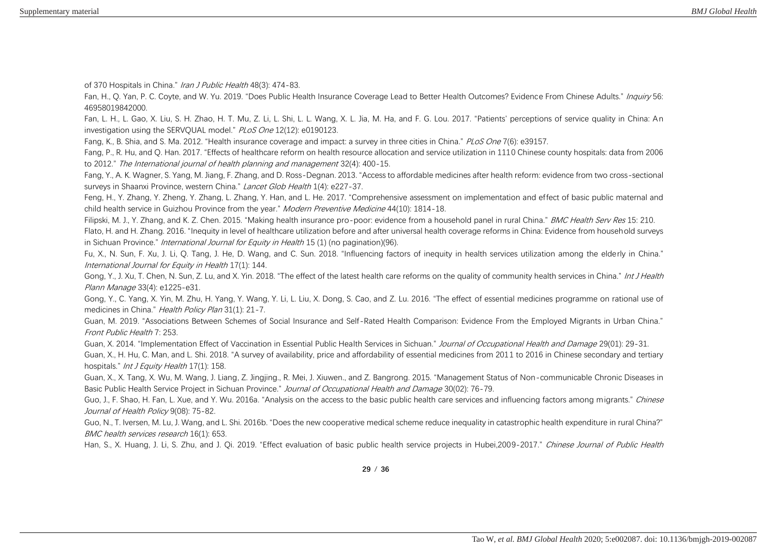of 370 Hospitals in China." Iran J Public Health 48(3): 474-83.

Fan, H., Q. Yan, P. C. Coyte, and W. Yu. 2019. "Does Public Health Insurance Coverage Lead to Better Health Outcomes? Evidence From Chinese Adults." Inquiry 56: 46958019842000.

Fan, L. H., L. Gao, X. Liu, S. H. Zhao, H. T. Mu, Z. Li, L. Shi, L. L. Wang, X. L. Jia, M. Ha, and F. G. Lou. 2017. "Patients' perceptions of service quality in China: An investigation using the SERVQUAL model." PLoS One 12(12): e0190123.

Fang, K., B. Shia, and S. Ma. 2012. "Health insurance coverage and impact: a survey in three cities in China." PLoS One 7(6): e39157.

Fang, P., R. Hu, and Q. Han. 2017. "Effects of healthcare reform on health resource allocation and service utilization in 1110 Chinese county hospitals: data from 2006 to 2012." The International journal of health planning and management 32(4): 400-15.

Fang, Y., A. K. Wagner, S. Yang, M. Jiang, F. Zhang, and D. Ross-Degnan. 2013. "Access to affordable medicines after health reform: evidence from two cross-sectional surveys in Shaanxi Province, western China." Lancet Glob Health 1(4): e227-37.

Feng, H., Y. Zhang, Y. Zheng, Y. Zhang, L. Zhang, Y. Han, and L. He. 2017. "Comprehensive assessment on implementation and effect of basic public maternal and child health service in Guizhou Province from the year." Modern Preventive Medicine 44(10): 1814-18.

Filipski, M. J., Y. Zhang, and K. Z. Chen. 2015. "Making health insurance pro-poor: evidence from a household panel in rural China." BMC Health Serv Res 15: 210. Flato, H. and H. Zhang. 2016. "Inequity in level of healthcare utilization before and after universal health coverage reforms in China: Evidence from household surveys in Sichuan Province." *International Journal for Equity in Health* 15 (1) (no pagination)(96).

Fu, X., N. Sun, F. Xu, J. Li, Q. Tang, J. He, D. Wang, and C. Sun. 2018. "Influencing factors of inequity in health services utilization among the elderly in China." International Journal for Equity in Health 17(1): 144.

Gong, Y., J. Xu, T. Chen, N. Sun, Z. Lu, and X. Yin. 2018. "The effect of the latest health care reforms on the quality of community health services in China." Int J Health Plann Manage 33(4): e1225-e31.

Gong, Y., C. Yang, X. Yin, M. Zhu, H. Yang, Y. Wang, Y. Li, L. Liu, X. Dong, S. Cao, and Z. Lu. 2016. "The effect of essential medicines programme on rational use of medicines in China." Health Policy Plan 31(1): 21-7.

Guan, M. 2019. "Associations Between Schemes of Social Insurance and Self-Rated Health Comparison: Evidence From the Employed Migrants in Urban China." Front Public Health 7: 253.

Guan, X. 2014. "Implementation Effect of Vaccination in Essential Public Health Services in Sichuan." Journal of Occupational Health and Damage 29(01): 29-31.

Guan, X., H. Hu, C. Man, and L. Shi. 2018. "A survey of availability, price and affordability of essential medicines from 2011 to 2016 in Chinese secondary and tertiary hospitals." Int J Equity Health 17(1): 158.

Guan, X., X. Tang, X. Wu, M. Wang, J. Liang, Z. Jingjing., R. Mei, J. Xiuwen., and Z. Bangrong. 2015. "Management Status of Non-communicable Chronic Diseases in Basic Public Health Service Project in Sichuan Province." Journal of Occupational Health and Damage 30(02): 76-79.

Guo, J., F. Shao, H. Fan, L. Xue, and Y. Wu. 2016a. "Analysis on the access to the basic public health care services and influencing factors among migrants." Chinese Journal of Health Policy 9(08): 75-82.

Guo, N., T. Iversen, M. Lu, J. Wang, and L. Shi. 2016b. "Does the new cooperative medical scheme reduce inequality in catastrophic health expenditure in rural China?" BMC health services research 16(1): 653.

Han, S., X. Huang, J. Li, S. Zhu, and J. Qi. 2019. "Effect evaluation of basic public health service projects in Hubei,2009-2017." Chinese Journal of Public Health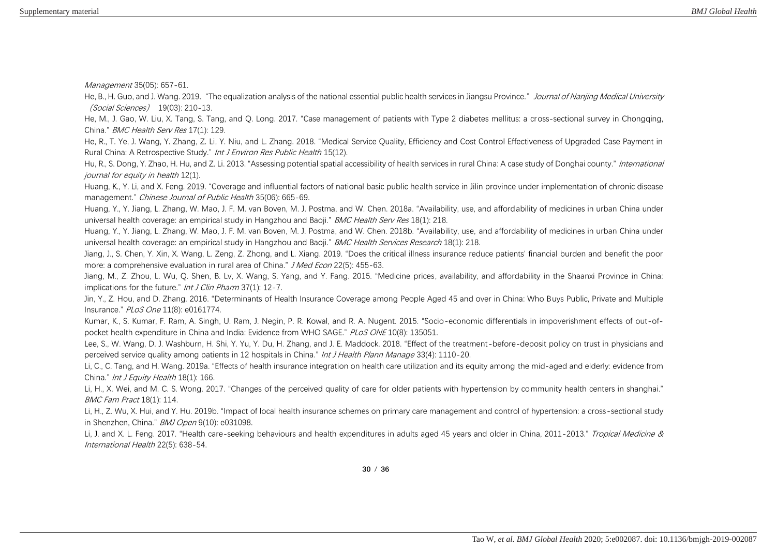Management 35(05): 657-61.

He, B., H. Guo, and J. Wang. 2019. "The equalization analysis of the national essential public health services in Jiangsu Province." Journal of Nanjing Medical University (Social Sciences) 19(03): 210-13.

He, M., J. Gao, W. Liu, X. Tang, S. Tang, and Q. Long. 2017. "Case management of patients with Type 2 diabetes mellitus: a cross-sectional survey in Chongqing, China." BMC Health Serv Res 17(1): 129.

He, R., T. Ye, J. Wang, Y. Zhang, Z. Li, Y. Niu, and L. Zhang. 2018. "Medical Service Quality, Efficiency and Cost Control Effectiveness of Upgraded Case Payment in Rural China: A Retrospective Study." Int J Environ Res Public Health 15(12).

Hu, R., S. Dong, Y. Zhao, H. Hu, and Z. Li, 2013. "Assessing potential spatial accessibility of health services in rural China: A case study of Donghai county." *International* journal for equity in health 12(1).

Huang, K., Y. Li, and X. Feng. 2019. "Coverage and influential factors of national basic public health service in Jilin province under implementation of chronic disease management." Chinese Journal of Public Health 35(06): 665-69.

Huang, Y., Y. Jiang, L. Zhang, W. Mao, J. F. M. van Boven, M. J. Postma, and W. Chen. 2018a. "Availability, use, and affordability of medicines in urban China under universal health coverage: an empirical study in Hangzhou and Baoji." BMC Health Serv Res 18(1): 218.

Huang, Y., Y. Jiang, L. Zhang, W. Mao, J. F. M. van Boven, M. J. Postma, and W. Chen. 2018b. "Availability, use, and affordability of medicines in urban China under universal health coverage: an empirical study in Hangzhou and Baoji." BMC Health Services Research 18(1): 218.

Jiang, J., S. Chen, Y. Xin, X. Wang, L. Zeng, Z. Zhong, and L. Xiang. 2019. "Does the critical illness insurance reduce patients' financial burden and benefit the poor more: a comprehensive evaluation in rural area of China." J Med Econ 22(5): 455-63.

Jiang, M., Z. Zhou, L. Wu, Q. Shen, B. Lv, X. Wang, S. Yang, and Y. Fang. 2015. "Medicine prices, availability, and affordability in the Shaanxi Province in China: implications for the future." Int J Clin Pharm 37(1): 12-7.

Jin, Y., Z. Hou, and D. Zhang. 2016. "Determinants of Health Insurance Coverage among People Aged 45 and over in China: Who Buys Public, Private and Multiple Insurance." PLoS One 11(8): e0161774.

Kumar, K., S. Kumar, F. Ram, A. Singh, U. Ram, J. Negin, P. R. Kowal, and R. A. Nugent. 2015. "Socio-economic differentials in impoverishment effects of out-ofpocket health expenditure in China and India: Evidence from WHO SAGE." PLoS ONE 10(8): 135051.

Lee, S., W. Wang, D. J. Washburn, H. Shi, Y. Yu, Y. Du, H. Zhang, and J. E. Maddock. 2018. "Effect of the treatment-before-deposit policy on trust in physicians and perceived service quality among patients in 12 hospitals in China." *Int J Health Plann Manage* 33(4): 1110-20.

Li, C., C. Tang, and H. Wang. 2019a. "Effects of health insurance integration on health care utilization and its equity among the mid-aged and elderly: evidence from China." Int J Equity Health 18(1): 166.

Li, H., X. Wei, and M. C. S. Wong. 2017. "Changes of the perceived quality of care for older patients with hypertension by community health centers in shanghai." BMC Fam Pract 18(1): 114.

Li, H., Z. Wu, X. Hui, and Y. Hu. 2019b. "Impact of local health insurance schemes on primary care management and control of hypertension: a cross-sectional study in Shenzhen, China." BMJ Open 9(10): e031098.

Li, J. and X. L. Feng. 2017. "Health care-seeking behaviours and health expenditures in adults aged 45 years and older in China, 2011-2013." Tropical Medicine & International Health 22(5): 638-54.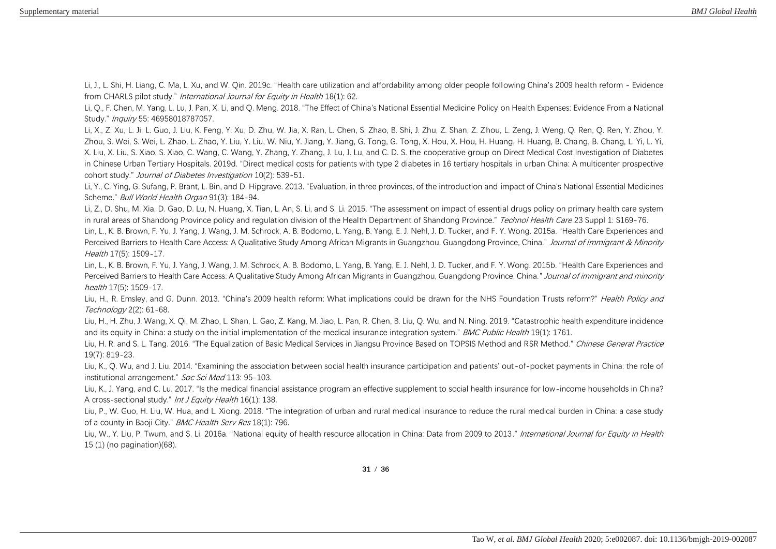Li, J., L. Shi, H. Liang, C. Ma, L. Xu, and W. Qin. 2019c. "Health care utilization and affordability among older people following China's 2009 health reform - Evidence from CHARLS pilot study." International Journal for Equity in Health 18(1): 62.

Li, Q., F. Chen, M. Yang, L. Lu, J. Pan, X. Li, and Q. Meng. 2018. "The Effect of China's National Essential Medicine Policy on Health Expenses: Evidence From a National Study." *Inquiry* 55: 46958018787057.

Li, X., Z. Xu, L. Ji, L. Guo, J. Liu, K. Feng, Y. Xu, D. Zhu, W. Jia, X. Ran, L. Chen, S. Zhao, B. Shi, J. Zhu, Z. Shan, Z. Zhou, L. Zeng, J. Weng, Q. Ren, Q. Ren, Y. Zhou, Y. Zhou, S. Wei, S. Wei, L. Zhao, L. Zhao, Y. Liu, Y. Liu, W. Niu, Y. Jiang, Y. Jiang, G. Tong, G. Tong, X. Hou, X. Hou, H. Huang, H. Huang, B. Chang, B. Chang, L. Yi, L. Yi, X. Liu, X. Liu, S. Xiao, S. Xiao, C. Wang, C. Wang, Y. Zhang, Y. Zhang, J. Lu, J. Lu, and C. D. S. the cooperative group on Direct Medical Cost Investigation of Diabetes in Chinese Urban Tertiary Hospitals. 2019d. "Direct medical costs for patients with type 2 diabetes in 16 tertiary hospitals in urban China: A multicenter prospective cohort study." Journal of Diabetes Investigation 10(2): 539-51.

Li, Y., C. Ying, G. Sufang, P. Brant, L. Bin, and D. Hipgrave. 2013. "Evaluation, in three provinces, of the introduction and impact of China's National Essential Medicines Scheme." Bull World Health Organ 91(3): 184-94.

Li, Z., D. Shu, M. Xia, D. Gao, D. Lu, N. Huang, X. Tian, L. An, S. Li, and S. Li. 2015. "The assessment on impact of essential drugs policy on primary health care system in rural areas of Shandong Province policy and regulation division of the Health Department of Shandong Province." Technol Health Care 23 Suppl 1: S169-76.

Lin, L., K. B. Brown, F. Yu, J. Yang, J. Wang, J. M. Schrock, A. B. Bodomo, L. Yang, B. Yang, E. J. Nehl, J. D. Tucker, and F. Y. Wong. 2015a. "Health Care Experiences and Perceived Barriers to Health Care Access: A Qualitative Study Among African Migrants in Guangzhou, Guangdong Province, China." Journal of Immigrant & Minority Health 17(5): 1509-17.

Lin, L., K. B. Brown, F. Yu, J. Yang, J. Wang, J. M. Schrock, A. B. Bodomo, L. Yang, B. Yang, E. J. Nehl, J. D. Tucker, and F. Y. Wong. 2015b. "Health Care Experiences and Perceived Barriers to Health Care Access: A Qualitative Study Among African Migrants in Guangzhou, Guangdong Province, China." Journal of immigrant and minority health 17(5): 1509-17.

Liu, H., R. Emsley, and G. Dunn. 2013. "China's 2009 health reform: What implications could be drawn for the NHS Foundation Trusts reform?" Health Policy and Technology 2(2): 61-68.

Liu, H., H. Zhu, J. Wang, X. Qi, M. Zhao, L. Shan, L. Gao, Z. Kang, M. Jiao, L. Pan, R. Chen, B. Liu, Q. Wu, and N. Ning. 2019. "Catastrophic health expenditure incidence and its equity in China: a study on the initial implementation of the medical insurance integration system." BMC Public Health 19(1): 1761.

Liu, H. R. and S. L. Tang. 2016. "The Equalization of Basic Medical Services in Jiangsu Province Based on TOPSIS Method and RSR Method." Chinese General Practice 19(7): 819-23.

Liu, K., Q. Wu, and J. Liu. 2014. "Examining the association between social health insurance participation and patients' out-of-pocket payments in China: the role of institutional arrangement." Soc Sci Med 113: 95-103.

Liu, K., J. Yang, and C. Lu. 2017. "Is the medical financial assistance program an effective supplement to social health insurance for low-income households in China? A cross-sectional study." Int J Equity Health 16(1): 138.

Liu, P., W. Guo, H. Liu, W. Hua, and L. Xiong. 2018. "The integration of urban and rural medical insurance to reduce the rural medical burden in China: a case study of a county in Baoji City." BMC Health Serv Res 18(1): 796.

Liu, W., Y. Liu, P. Twum, and S. Li. 2016a. "National equity of health resource allocation in China: Data from 2009 to 2013." International Journal for Equity in Health 15 (1) (no pagination)(68).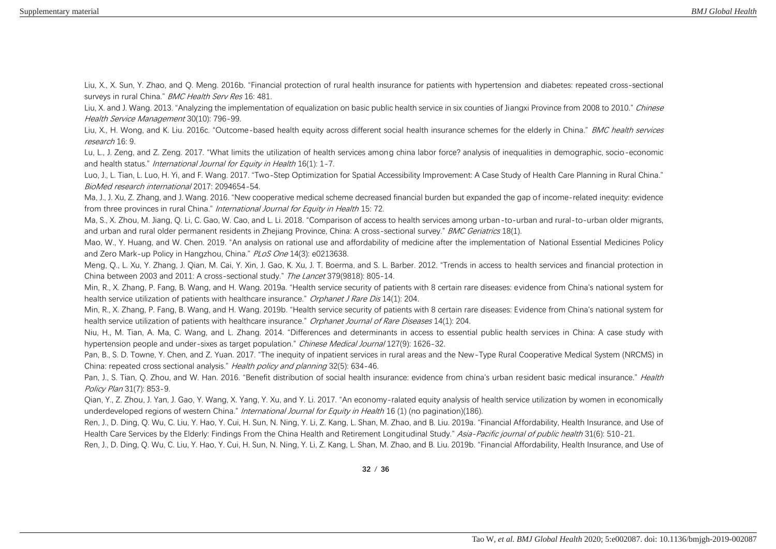Liu, X., X. Sun, Y. Zhao, and Q. Meng. 2016b. "Financial protection of rural health insurance for patients with hypertension and diabetes: repeated cross-sectional surveys in rural China." *BMC Health Serv Res* 16: 481.

Liu, X. and J. Wang. 2013. "Analyzing the implementation of equalization on basic public health service in six counties of Jiangxi Province from 2008 to 2010." Chinese Health Service Management 30(10): 796-99.

Liu, X., H. Wong, and K. Liu, 2016c. "Outcome-based health equity across different social health insurance schemes for the elderly in China." BMC health services research 16: 9.

Lu, L., J. Zeng, and Z. Zeng. 2017. "What limits the utilization of health services among china labor force? analysis of inequalities in demographic, socio-economic and health status." *International Journal for Equity in Health* 16(1): 1-7.

Luo, J., L. Tian, L. Luo, H. Yi, and F. Wang. 2017. "Two-Step Optimization for Spatial Accessibility Improvement: A Case Study of Health Care Planning in Rural China." BioMed research international 2017: 2094654-54.

Ma, J., J. Xu, Z. Zhang, and J. Wang. 2016. "New cooperative medical scheme decreased financial burden but expanded the gap of income-related inequity: evidence from three provinces in rural China." *International Journal for Equity in Health* 15:72.

Ma, S., X. Zhou, M. Jiang, Q. Li, C. Gao, W. Cao, and L. Li. 2018. "Comparison of access to health services among urban-to-urban and rural-to-urban older migrants, and urban and rural older permanent residents in Zheijang Province, China: A cross-sectional survey." BMC Geriatrics 18(1).

Mao, W., Y. Huang, and W. Chen. 2019. "An analysis on rational use and affordability of medicine after the implementation of National Essential Medicines Policy and Zero Mark-up Policy in Hangzhou, China." PLoS One 14(3): e0213638.

Meng, Q., L. Xu, Y. Zhang, J. Qian, M. Cai, Y. Xin, J. Gao, K. Xu, J. T. Boerma, and S. L. Barber. 2012. "Trends in access to health services and financial protection in China between 2003 and 2011: A cross-sectional study." The Lancet 379(9818): 805-14.

Min, R., X. Zhang, P. Fang, B. Wang, and H. Wang. 2019a. "Health service security of patients with 8 certain rare diseases: evidence from China's national system for health service utilization of patients with healthcare insurance." Orphanet J Rare Dis 14(1): 204.

Min, R., X. Zhang, P. Fang, B. Wang, and H. Wang. 2019b. "Health service security of patients with 8 certain rare diseases: Evidence from China's national system for health service utilization of patients with healthcare insurance." Orphanet Journal of Rare Diseases 14(1): 204.

Niu, H., M. Tian, A. Ma, C. Wang, and L. Zhang. 2014. "Differences and determinants in access to essential public health services in China: A case study with hypertension people and under-sixes as target population." Chinese Medical Journal 127(9): 1626-32.

Pan, B., S. D. Towne, Y. Chen, and Z. Yuan. 2017. "The inequity of inpatient services in rural areas and the New-Type Rural Cooperative Medical System (NRCMS) in China: repeated cross sectional analysis." Health policy and planning 32(5): 634-46.

Pan, J., S. Tian, Q. Zhou, and W. Han. 2016. "Benefit distribution of social health insurance: evidence from china's urban resident basic medical insurance." Health Policy Plan 31(7): 853-9.

Qian, Y., Z. Zhou, J. Yan, J. Gao, Y. Wang, X. Yang, Y. Xu, and Y. Li. 2017. "An economy-ralated equity analysis of health service utilization by women in economically underdeveloped regions of western China." *International Journal for Equity in Health* 16 (1) (no pagination)(186).

Ren, J., D. Ding, Q. Wu, C. Liu, Y. Hao, Y. Cui, H. Sun, N. Ning, Y. Li, Z. Kang, L. Shan, M. Zhao, and B. Liu. 2019a. "Financial Affordability, Health Insurance, and Use of Health Care Services by the Elderly: Findings From the China Health and Retirement Longitudinal Study." Asia-Pacific journal of public health 31(6): 510-21.

Ren, J., D. Ding, Q. Wu, C. Liu, Y. Hao, Y. Cui, H. Sun, N. Ning, Y. Li, Z. Kang, L. Shan, M. Zhao, and B. Liu. 2019b. "Financial Affordability, Health Insurance, and Use of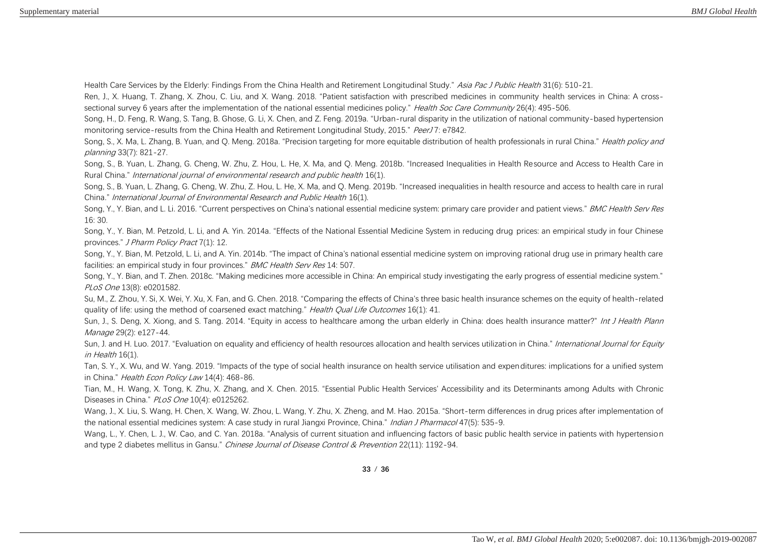Health Care Services by the Elderly: Findings From the China Health and Retirement Longitudinal Study." Asia Pac J Public Health 31(6): 510-21.

Ren, J., X. Huang, T. Zhang, X. Zhou, C. Liu, and X. Wang. 2018. "Patient satisfaction with prescribed medicines in community health services in China: A crosssectional survey 6 years after the implementation of the national essential medicines policy." Health Soc Care Community 26(4): 495-506.

Song, H., D. Feng, R. Wang, S. Tang, B. Ghose, G. Li, X. Chen, and Z. Feng. 2019a. "Urban-rural disparity in the utilization of national community-based hypertension monitoring service-results from the China Health and Retirement Longitudinal Study, 2015." PeerJ7: e7842.

Song, S., X. Ma, L. Zhang, B. Yuan, and Q. Meng. 2018a. "Precision targeting for more equitable distribution of health professionals in rural China." Health policy and planning 33(7): 821-27.

Song, S., B. Yuan, L. Zhang, G. Cheng, W. Zhu, Z. Hou, L. He, X. Ma, and Q. Meng. 2018b. "Increased Inequalities in Health Resource and Access to Health Care in Rural China." International journal of environmental research and public health 16(1).

Song, S., B. Yuan, L. Zhang, G. Cheng, W. Zhu, Z. Hou, L. He, X. Ma, and Q. Meng. 2019b. "Increased inequalities in health resource and access to health care in rural China." International Journal of Environmental Research and Public Health 16(1).

Song, Y., Y. Bian, and L. Li. 2016. "Current perspectives on China's national essential medicine system: primary care provider and patient views." BMC Health Serv Res 16: 30.

Song, Y., Y. Bian, M. Petzold, L. Li, and A. Yin. 2014a. "Effects of the National Essential Medicine System in reducing drug prices: an empirical study in four Chinese provinces." J Pharm Policy Pract 7(1): 12.

Song, Y., Y. Bian, M. Petzold, L. Li, and A. Yin. 2014b. "The impact of China's national essential medicine system on improving rational drug use in primary health care facilities: an empirical study in four provinces." BMC Health Serv Res 14: 507.

Song, Y., Y. Bian, and T. Zhen. 2018c. "Making medicines more accessible in China: An empirical study investigating the early progress of essential medicine system." PLoS One 13(8): e0201582.

Su, M., Z. Zhou, Y. Si, X. Wei, Y. Xu, X. Fan, and G. Chen. 2018. "Comparing the effects of China's three basic health insurance schemes on the equity of health-related quality of life: using the method of coarsened exact matching." *Health Qual Life Outcomes* 16(1): 41.

Sun, J., S. Deng, X. Xiong, and S. Tang. 2014. "Equity in access to healthcare among the urban elderly in China: does health insurance matter?" Int J Health Plann Manage 29(2): e127-44.

Sun, J. and H. Luo. 2017. "Evaluation on equality and efficiency of health resources allocation and health services utilization in China." International Journal for Equity in Health 16(1).

Tan, S. Y., X. Wu, and W. Yang. 2019. "Impacts of the type of social health insurance on health service utilisation and expenditures: implications for a unified system in China." Health Econ Policy Law 14(4): 468-86.

Tian, M., H. Wang, X. Tong, K. Zhu, X. Zhang, and X. Chen. 2015. "Essential Public Health Services' Accessibility and its Determinants among Adults with Chronic Diseases in China." PLoS One 10(4): e0125262.

Wang, J., X. Liu, S. Wang, H. Chen, X. Wang, W. Zhou, L. Wang, Y. Zhu, X. Zheng, and M. Hao. 2015a. "Short-term differences in drug prices after implementation of the national essential medicines system: A case study in rural Jiangxi Province, China." Indian J Pharmacol 47(5): 535-9.

Wang, L., Y. Chen, L. J., W. Cao, and C. Yan. 2018a. "Analysis of current situation and influencing factors of basic public health service in patients with hypertension and type 2 diabetes mellitus in Gansu." Chinese Journal of Disease Control & Prevention 22(11): 1192-94.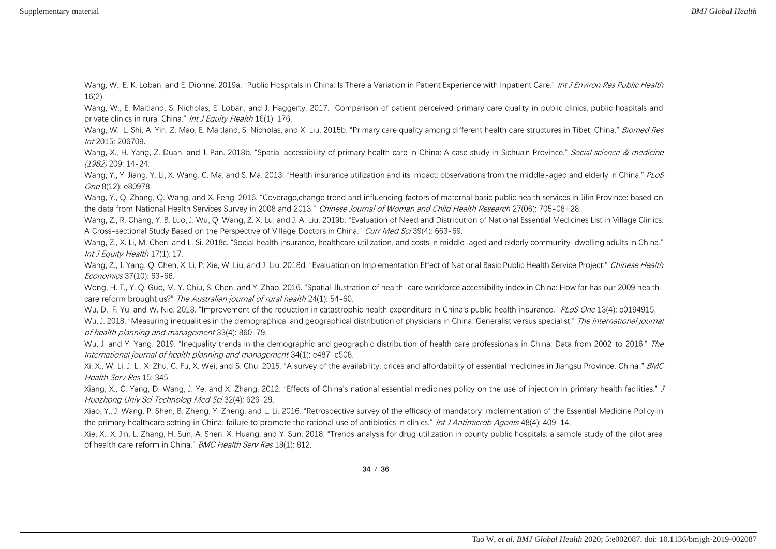Wang, W., E. K. Loban, and E. Dionne. 2019a. "Public Hospitals in China: Is There a Variation in Patient Experience with Inpatient Care." Int J Environ Res Public Health 16(2).

Wang, W., E. Maitland, S. Nicholas, E. Loban, and J. Haggerty. 2017. "Comparison of patient perceived primary care quality in public clinics, public hospitals and private clinics in rural China." Int J Equity Health 16(1): 176.

Wang, W., L. Shi, A. Yin, Z. Mao, E. Maitland, S. Nicholas, and X. Liu. 2015b. "Primary care quality among different health care structures in Tibet, China." Biomed Res Int 2015: 206709.

Wang, X., H. Yang, Z. Duan, and J. Pan. 2018b. "Spatial accessibility of primary health care in China: A case study in Sichuan Province." Social science & medicine (1982) 209: 14-24.

Wang, Y., Y. Jiang, Y. Li, X. Wang, C. Ma, and S. Ma. 2013. "Health insurance utilization and its impact: observations from the middle-aged and elderly in China." PLoS One 8(12): e80978.

Wang, Y., Q. Zhang, Q. Wang, and X. Feng. 2016. "Coverage,change trend and influencing factors of maternal basic public health services in Jilin Province: based on the data from National Health Services Survey in 2008 and 2013." Chinese Journal of Woman and Child Health Research 27(06): 705-08+28.

Wang, Z., R. Chang, Y. B. Luo, J. Wu, Q. Wang, Z. X. Lu, and J. A. Liu. 2019b. "Evaluation of Need and Distribution of National Essential Medicines List in Village Clinics: A Cross-sectional Study Based on the Perspective of Village Doctors in China." Curr Med Sci 39(4): 663-69.

Wang, Z., X. Li, M. Chen, and L. Si. 2018c. "Social health insurance, healthcare utilization, and costs in middle-aged and elderly community-dwelling adults in China." Int J Equity Health 17(1): 17.

Wang, Z., J. Yang, Q. Chen, X. Li, P. Xie, W. Liu, and J. Liu. 2018d. "Evaluation on Implementation Effect of National Basic Public Health Service Project." Chinese Health Economics 37(10): 63-66.

Wong, H. T., Y. Q. Guo, M. Y. Chiu, S. Chen, and Y. Zhao. 2016. "Spatial illustration of health-care workforce accessibility index in China: How far has our 2009 healthcare reform brought us?" The Australian journal of rural health 24(1): 54-60.

Wu, D., F. Yu, and W. Nie. 2018. "Improvement of the reduction in catastrophic health expenditure in China's public health insurance." PLoS One 13(4): e0194915. Wu, J. 2018. "Measuring inequalities in the demographical and geographical distribution of physicians in China: Generalist versus specialist." The International journal of health planning and management 33(4): 860-79.

Wu, J. and Y. Yang. 2019. "Inequality trends in the demographic and geographic distribution of health care professionals in China: Data from 2002 to 2016." The International journal of health planning and management 34(1): e487-e508.

Xi, X., W. Li, J. Li, X. Zhu, C. Fu, X. Wei, and S. Chu. 2015. "A survey of the availability, prices and affordability of essential medicines in Jiangsu Province, China." BMC Health Serv Res 15: 345.

Xiang, X., C. Yang, D. Wang, J. Ye, and X. Zhang. 2012. "Effects of China's national essential medicines policy on the use of injection in primary health facilities." J Huazhong Univ Sci Technolog Med Sci 32(4): 626-29.

Xiao, Y., J. Wang, P. Shen, B. Zheng, Y. Zheng, and L. Li. 2016. "Retrospective survey of the efficacy of mandatory implementation of the Essential Medicine Policy in the primary healthcare setting in China: failure to promote the rational use of antibiotics in clinics." Int J Antimicrob Agents 48(4): 409-14.

Xie, X., X. Jin, L. Zhang, H. Sun, A. Shen, X. Huang, and Y. Sun. 2018. "Trends analysis for drug utilization in county public hospitals: a sample study of the pilot area of health care reform in China." BMC Health Serv Res 18(1): 812.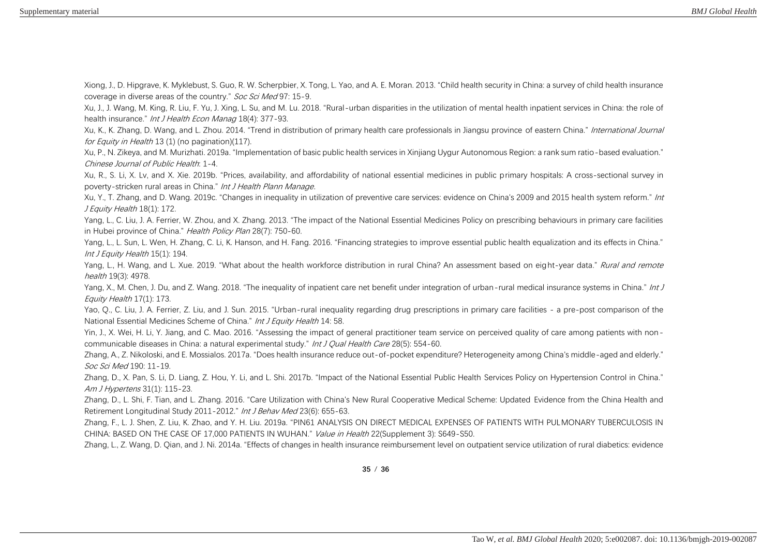Xiong, J., D. Hipgrave, K. Myklebust, S. Guo, R. W. Scherpbier, X. Tong, L. Yao, and A. E. Moran. 2013. "Child health security in China: a survey of child health insurance coverage in diverse areas of the country." Soc Sci Med 97: 15-9.

Xu, J., J. Wang, M. King, R. Liu, F. Yu, J. Xing, L. Su, and M. Lu. 2018. "Rural-urban disparities in the utilization of mental health inpatient services in China: the role of health insurance." Int J Health Econ Manag 18(4): 377-93.

Xu, K., K. Zhang, D. Wang, and L. Zhou. 2014. "Trend in distribution of primary health care professionals in Jiangsu province of eastern China." International Journal for Equity in Health 13 (1) (no pagination)(117).

Xu, P., N. Zikeya, and M. Murizhati. 2019a. "Implementation of basic public health services in Xinjiang Uygur Autonomous Region: a rank sum ratio-based evaluation." Chinese Journal of Public Health: 1-4.

Xu, R., S. Li, X. Lv, and X. Xie. 2019b. "Prices, availability, and affordability of national essential medicines in public primary hospitals: A cross-sectional survey in poverty-stricken rural areas in China." Int J Health Plann Manage.

Xu, Y., T. Zhang, and D. Wang. 2019c. "Changes in inequality in utilization of preventive care services: evidence on China's 2009 and 2015 health system reform." Int J Equity Health 18(1): 172.

Yang, L., C. Liu, J. A. Ferrier, W. Zhou, and X. Zhang. 2013. "The impact of the National Essential Medicines Policy on prescribing behaviours in primary care facilities in Hubei province of China." Health Policy Plan 28(7): 750-60.

Yang, L., L. Sun, L. Wen, H. Zhang, C. Li, K. Hanson, and H. Fang. 2016. "Financing strategies to improve essential public health equalization and its effects in China." Int J Equity Health 15(1): 194.

Yang, L., H. Wang, and L. Xue. 2019. "What about the health workforce distribution in rural China? An assessment based on eight-year data." Rural and remote health 19(3): 4978.

Yang, X., M. Chen, J. Du, and Z. Wang. 2018. "The inequality of inpatient care net benefit under integration of urban-rural medical insurance systems in China." Int J Equity Health 17(1): 173.

Yao, Q., C. Liu, J. A. Ferrier, Z. Liu, and J. Sun. 2015. "Urban-rural inequality regarding drug prescriptions in primary care facilities - a pre-post comparison of the National Essential Medicines Scheme of China." Int J Equity Health 14: 58.

Yin, J., X. Wei, H. Li, Y. Jiang, and C. Mao. 2016. "Assessing the impact of general practitioner team service on perceived quality of care among patients with noncommunicable diseases in China: a natural experimental study." Int J Qual Health Care 28(5): 554-60.

Zhang, A., Z. Nikoloski, and E. Mossialos. 2017a. "Does health insurance reduce out-of-pocket expenditure? Heterogeneity among China's middle-aged and elderly." Soc Sci Med 190: 11-19.

Zhang, D., X. Pan, S. Li, D. Liang, Z. Hou, Y. Li, and L. Shi. 2017b. "Impact of the National Essential Public Health Services Policy on Hypertension Control in China." Am J Hypertens 31(1): 115-23.

Zhang, D., L. Shi, F. Tian, and L. Zhang. 2016. "Care Utilization with China's New Rural Cooperative Medical Scheme: Updated Evidence from the China Health and Retirement Longitudinal Study 2011-2012." Int J Behav Med 23(6): 655-63.

Zhang, F., L. J. Shen, Z. Liu, K. Zhao, and Y. H. Liu. 2019a. "PIN61 ANALYSIS ON DIRECT MEDICAL EXPENSES OF PATIENTS WITH PULMONARY TUBERCULOSIS IN CHINA: BASED ON THE CASE OF 17,000 PATIENTS IN WUHAN." Value in Health 22(Supplement 3): S649-S50.

Zhang, L., Z. Wang, D. Qian, and J. Ni. 2014a. "Effects of changes in health insurance reimbursement level on outpatient service utilization of rural diabetics: evidence